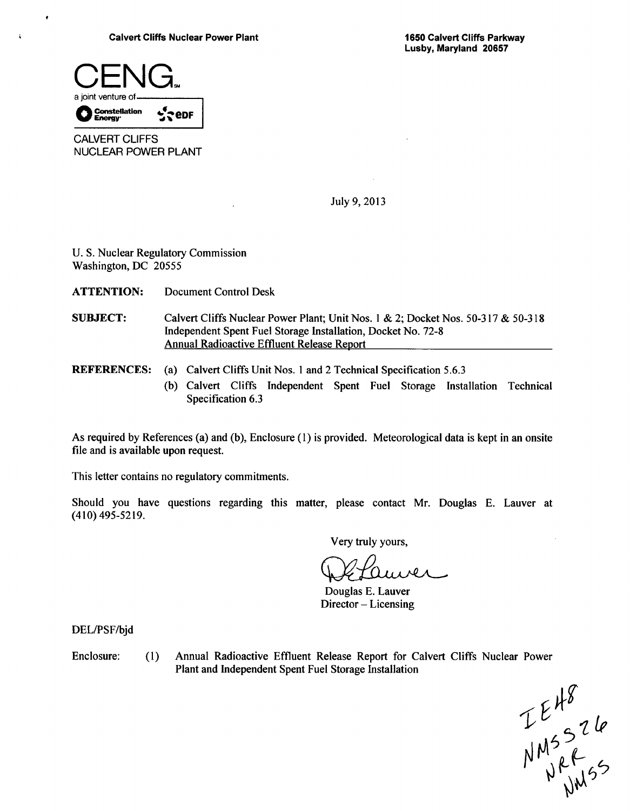

 $\cdot$ 

Á

CALVERT CLIFFS NUCLEAR POWER PLANT

July 9, 2013

U. S. Nuclear Regulatory Commission Washington, DC 20555

ATTENTION: Document Control Desk

- **SUBJECT:** Calvert Cliffs Nuclear Power Plant; Unit Nos. 1 & 2; Docket Nos. 50-317 & 50-318 Independent Spent Fuel Storage Installation, Docket No. 72-8 Annual Radioactive Effluent Release Report
- (a) Calvert Cliffs Unit Nos. 1 and 2 Technical Specification 5.6.3 REFERENCES:
	- (b) Calvert Cliffs Independent Spent Fuel Storage Installation Technical Specification 6.3

As required by References (a) and (b), Enclosure (1) is provided. Meteorological data is kept in an onsite file and is available upon request.

This letter contains no regulatory commitments.

Should you have questions regarding this matter, please contact Mr. Douglas E. Lauver at (410) 495-5219.

Very truly yours,

auver

Douglas E. Lauver Director - Licensing

DEL/PSF/bjd

Enclosure: (1) Annual Radioactive Effluent Release Report for Calvert Cliffs Nuclear Power Plant and Independent Spent Fuel Storage Installation

 $\boldsymbol{z}$ 5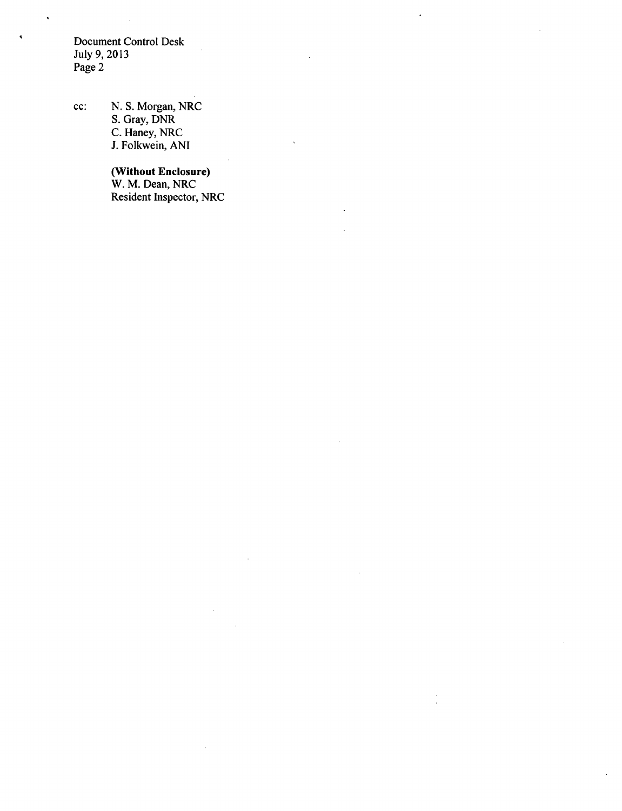Document Control Desk July 9, 2013 Page 2

 $\bullet$ 

 $\ddot{\phantom{0}}$ 

cc: N. S. Morgan, NRC S. Gray, DNR C. Haney, NRC J. Folkwein, ANI

#### (Without Enclosure)

W. M. Dean, NRC Resident Inspector, NRC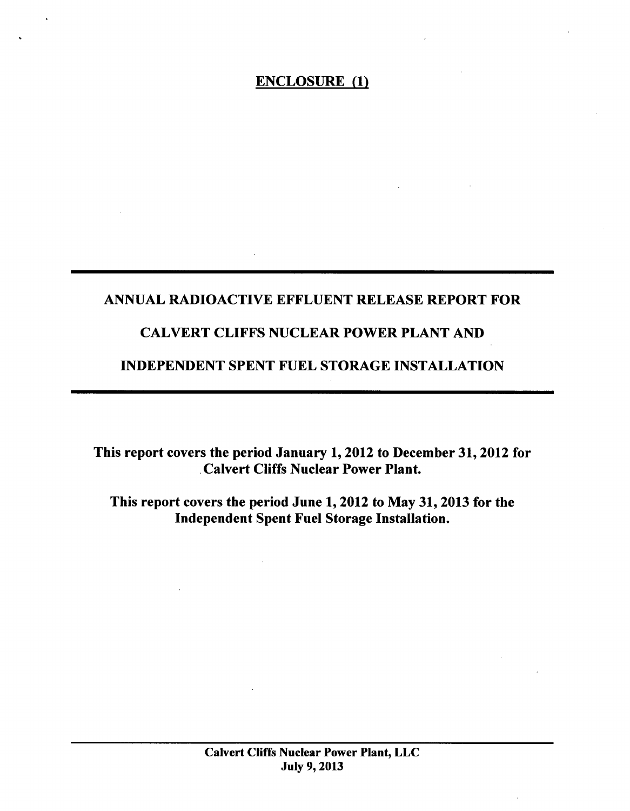# ANNUAL RADIOACTIVE EFFLUENT RELEASE REPORT FOR

# CALVERT CLIFFS NUCLEAR POWER PLANT AND

# INDEPENDENT SPENT FUEL STORAGE INSTALLATION

This report covers the period January 1, 2012 to December 31, 2012 for Calvert Cliffs Nuclear Power Plant.

This report covers the period June 1, 2012 to May 31, 2013 for the Independent Spent Fuel Storage Installation.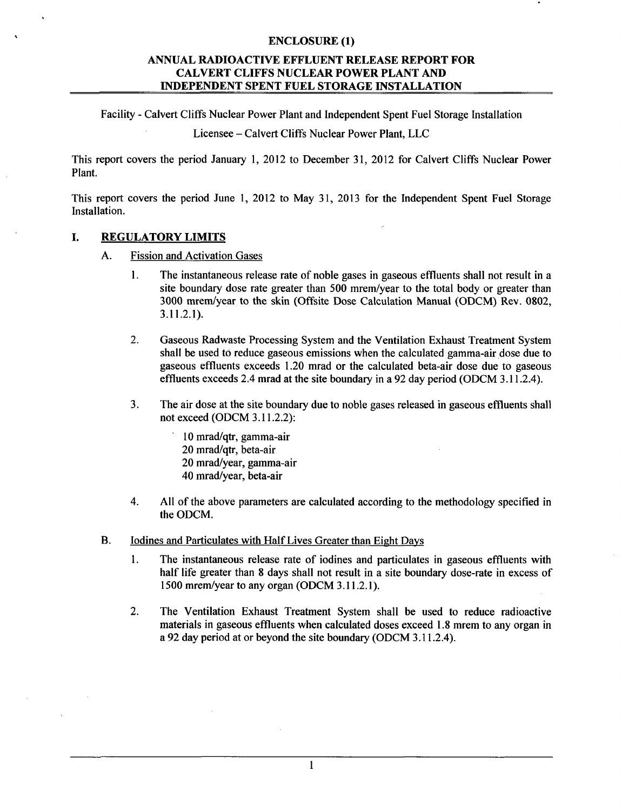# **ANNUAL** RADIOACTIVE **EFFLUENT RELEASE** REPORT FOR CALVERT **CLIFFS NUCLEAR** POWER **PLANT AND INDEPENDENT SPENT FUEL** STORAGE **INSTALLATION**

Facility - Calvert Cliffs Nuclear Power Plant and Independent Spent Fuel Storage Installation

Licensee - Calvert Cliffs Nuclear Power Plant, LLC

This report covers the period January 1, 2012 to December 31, 2012 for Calvert Cliffs Nuclear Power Plant.

This report covers the period June 1, 2012 to May 31, 2013 for the Independent Spent Fuel Storage Installation.

### **1.** REGULATORY LIMITS

- A. Fission and Activation Gases
	- 1. The instantaneous release rate of noble gases in gaseous effluents shall not result in a site boundary dose rate greater than 500 mrem/year to the total body or greater than 3000 mrem/year to the skin (Offsite Dose Calculation Manual (ODCM) Rev. 0802, 3.11.2.1).
	- 2. Gaseous Radwaste Processing System and the Ventilation Exhaust Treatment System shall be used to reduce gaseous emissions when the calculated gamma-air dose due to gaseous effluents exceeds 1.20 mrad or the calculated beta-air dose due to gaseous effluents exceeds 2.4 mrad at the site boundary in a 92 day period (ODCM 3.11.2.4).
	- 3. The air dose at the site boundary due to noble gases released in gaseous effluents shall not exceed (ODCM 3.11.2.2):
		- 10 mrad/qtr, gamma-air 20 mrad/qtr, beta-air 20 mrad/year, gamma-air 40 mrad/year, beta-air
	- 4. All of the above parameters are calculated according to the methodology specified in the ODCM.
- B. Iodines and Particulates with Half Lives Greater than Eight Days
	- 1. The instantaneous release rate of iodines and particulates in gaseous effluents with half life greater than 8 days shall not result in a site boundary dose-rate in excess of 1500 mrem/year to any organ (ODCM 3.11.2.1).
	- 2. The Ventilation Exhaust Treatment System shall be used to reduce radioactive materials in gaseous effluents when calculated doses exceed 1.8 mrem to any organ in a 92 day period at or beyond the site boundary (ODCM 3.11.2.4).

1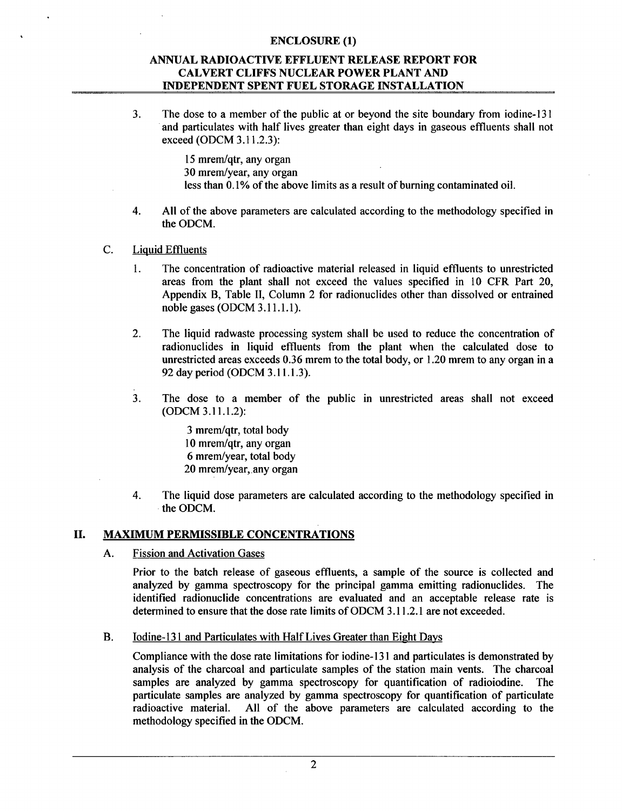### **ANNUAL** RADIOACTIVE **EFFLUENT RELEASE** REPORT FOR CALVERT **CLIFFS NUCLEAR** POWER **PLANT AND INDEPENDENT SPENT FUEL** STORAGE **INSTALLATION**

3. The dose to a member of the public at or beyond the site boundary from iodine-131 and particulates with half lives greater than eight days in gaseous effluents shall not exceed (ODCM 3.11.2.3):

> 15 mrem/qtr, any organ 30 mrem/year, any organ less than 0.1% of the above limits as a result of burning contaminated oil.

4. All of the above parameters are calculated according to the methodology specified in the ODCM.

#### C. Liquid Effluents

- 1. The concentration of radioactive material released in liquid effluents to unrestricted areas from the plant shall not exceed the values specified in 10 CFR Part 20, Appendix B, Table II, Column 2 for radionuclides other than dissolved or entrained noble gases (ODCM 3.11.1.1).
- 2. The liquid radwaste processing system shall be used to reduce the concentration of radionuclides in liquid effluents from the plant when the calculated dose to unrestricted areas exceeds 0.36 mrem to the total body, or 1.20 mrem to any organ in a 92 day period (ODCM 3.11.1.3).
- 3. The dose to a member of the public in unrestricted areas shall not exceed (ODCM 3.11.1.2):

3 mrem/qtr, total body 10 mrem/qtr, any organ 6 mrem/year, total body 20 mrem/year, any organ

4. The liquid dose parameters are calculated according to the methodology specified in the ODCM.

#### **II.** MAXIMUM PERMISSIBLE CONCENTRATIONS

A. Fission and Activation Gases

Prior to the batch release of gaseous effluents, a sample of the source is collected and analyzed by gamma spectroscopy for the principal gamma emitting radionuclides. The identified radionuclide concentrations are evaluated and an acceptable release rate is determined to ensure that the dose rate limits of ODCM 3.11.2.1 are not exceeded.

B. Iodine-131 and Particulates with Half Lives Greater than Eight Days

Compliance with the dose rate limitations for iodine-131 and particulates is demonstrated by analysis of the charcoal and particulate samples of the station main vents. The charcoal samples are analyzed by gamma spectroscopy for quantification of radioiodine. The particulate samples are analyzed by gamma spectroscopy for quantification of particulate radioactive material. All of the above parameters are calculated according to the methodology specified in the ODCM.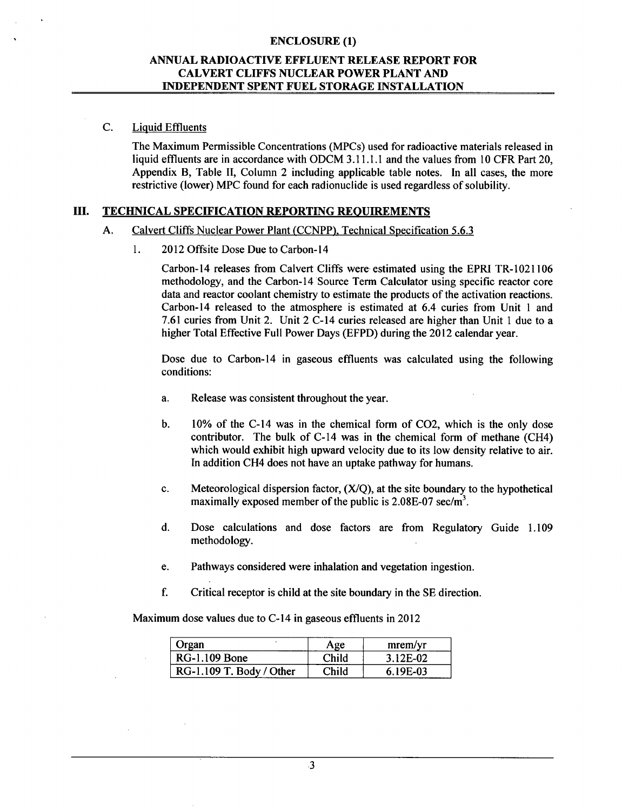### **ANNUAL** RADIOACTIVE **EFFLUENT RELEASE** REPORT FOR CALVERT **CLIFFS NUCLEAR** POWER **PLANT AND INDEPENDENT SPENT FUEL** STORAGE **INSTALLATION**

### C. Liquid Effluents

The Maximum Permissible Concentrations (MPCs) used for radioactive materials released in liquid effluents are in accordance with ODCM 3.11.1.1 and the values from 10 CFR Part 20, Appendix B, Table II, Column 2 including applicable table notes. In all cases, the more restrictive (lower) MPC found for each radionuclide is used regardless of solubility.

### **III. TECHNICAL SPECIFICATION REPORTING REQUIREMENTS**

#### A. Calvert Cliffs Nuclear Power Plant (CCNPP), Technical Specification 5.6.3

1. 2012 Offsite Dose Due to Carbon- 14

Carbon-14 releases from Calvert Cliffs were estimated using the EPRI TR-1021106 methodology, and the Carbon-14 Source Term Calculator using specific reactor core data and reactor coolant chemistry to estimate the products of the activation reactions. Carbon-14 released to the atmosphere is estimated at 6.4 curies from Unit 1 and 7.61 curies from Unit 2. Unit 2 C-14 curies released are higher than Unit **I** due to a higher Total Effective Full Power Days (EFPD) during the 2012 calendar year.

Dose due to Carbon-14 in gaseous effluents was calculated using the following conditions:

- a. Release was consistent throughout the year.
- b. 10% of the C-14 was in the chemical form of C02, which is the only dose contributor. The bulk of C-14 was in the chemical form of methane (CH4) which would exhibit high upward velocity due to its low density relative to air. In addition CH4 does not have an uptake pathway for humans.
- c. Meteorological dispersion factor,  $(X/O)$ , at the site boundary to the hypothetical maximally exposed member of the public is  $2.08E-07$  sec/m<sup>3</sup>.
- d. Dose calculations and dose factors are from Regulatory Guide 1.109 methodology.
- e. Pathways considered were inhalation and vegetation ingestion.
- f. Critical receptor is child at the site boundary in the SE direction.

Maximum dose values due to C-14 in gaseous effluents in 2012

| Organ                    | Age   | merm/yr  |
|--------------------------|-------|----------|
| <b>RG-1.109 Bone</b>     | Child | 3.12E-02 |
| RG-1.109 T. Body / Other | Child | 6.19E-03 |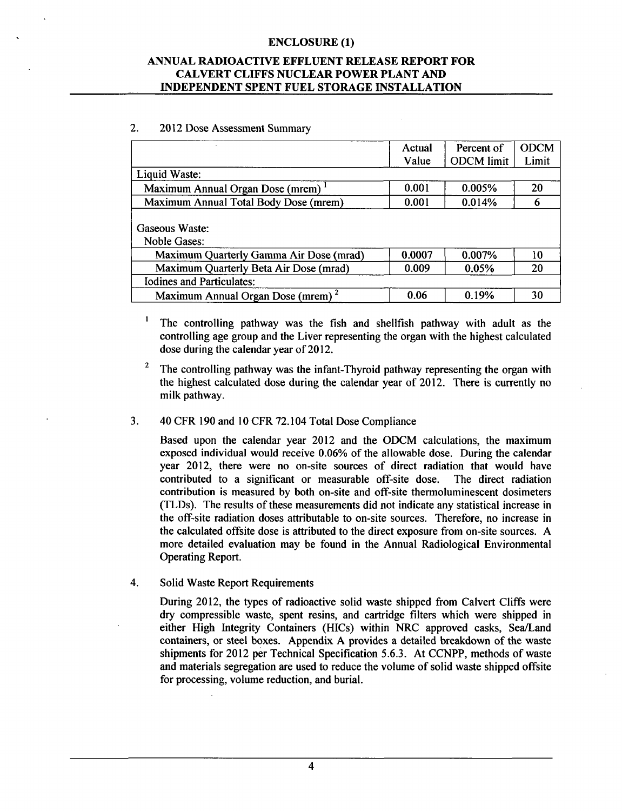# **ANNUAL** RADIOACTIVE **EFFLUENT RELEASE** REPORT FOR CALVERT **CLIFFS NUCLEAR** POWER **PLANT AND INDEPENDENT SPENT FUEL** STORAGE **INSTALLATION**

### 2. 2012 Dose Assessment Summary

|                                               | Actual | Percent of        | <b>ODCM</b> |
|-----------------------------------------------|--------|-------------------|-------------|
|                                               | Value  | <b>ODCM</b> limit | Limit       |
| Liquid Waste:                                 |        |                   |             |
| Maximum Annual Organ Dose (mrem) '            | 0.001  | 0.005%            | 20          |
| Maximum Annual Total Body Dose (mrem)         | 0.001  | 0.014%            | 6           |
| Gaseous Waste:<br><b>Noble Gases:</b>         |        |                   |             |
| Maximum Quarterly Gamma Air Dose (mrad)       | 0.0007 | 0.007%            | 10          |
| Maximum Quarterly Beta Air Dose (mrad)        | 0.009  | 0.05%             | 20          |
| <b>Iodines and Particulates:</b>              |        |                   |             |
| Maximum Annual Organ Dose (mrem) <sup>2</sup> | 0.06   | 0.19%             | 30          |

 $\pmb{\mathsf{1}}$ The controlling pathway was the fish and shellfish pathway with adult as the controlling age group and the Liver representing the organ with the highest calculated dose during the calendar year of 2012.

<sup>2</sup> The controlling pathway was the infant-Thyroid pathway representing the organ with the highest calculated dose during the calendar year of 2012. There is currently no milk pathway.

### 3. 40 CFR 190 and 10 CFR 72.104 Total Dose Compliance

Based upon the calendar year 2012 and the ODCM calculations, the maximum exposed individual would receive 0.06% of the allowable dose. During the calendar year 2012, there were no on-site sources of direct radiation that would have contributed to a significant or measurable off-site dose. The direct radiation contribution is measured by both on-site and off-site thermoluminescent dosimeters (TLDs). The results of these measurements did not indicate any statistical increase in the off-site radiation doses attributable to on-site sources. Therefore, no increase in the calculated offsite dose is attributed to the direct exposure from on-site sources. A more detailed evaluation may be found in the Annual Radiological Environmental Operating Report.

4. Solid Waste Report Requirements

During 2012, the types of radioactive solid waste shipped from Calvert Cliffs were dry compressible waste, spent resins, and cartridge filters which were shipped in either High Integrity Containers (HICs) within NRC approved casks, Sea/Land containers, or steel boxes. Appendix A provides a detailed breakdown of the waste shipments for 2012 per Technical Specification 5.6.3. At CCNPP, methods of waste and materials segregation are used to reduce the volume of solid waste shipped offsite for processing, volume reduction, and burial.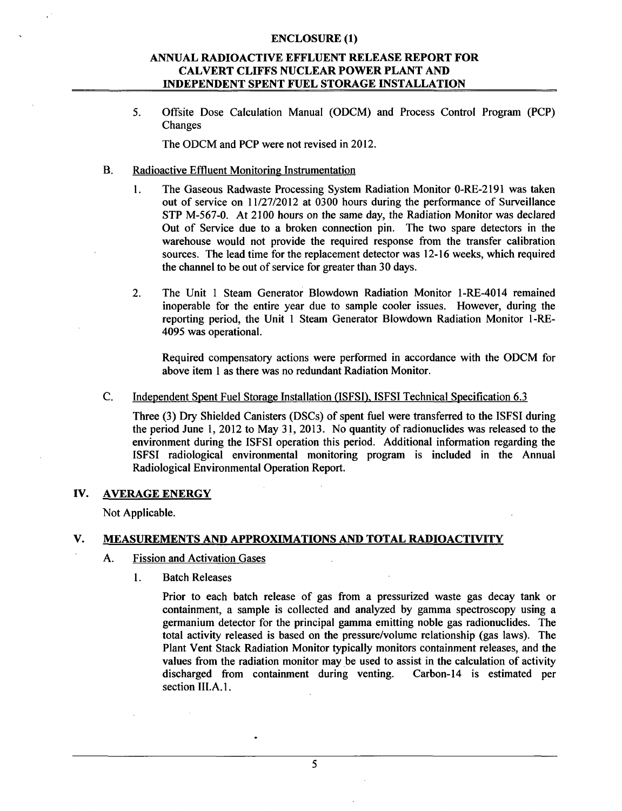# **ANNUAL** RADIOACTIVE **EFFLUENT RELEASE** REPORT FOR CALVERT **CLIFFS NUCLEAR** POWER **PLANT AND INDEPENDENT SPENT FUEL** STORAGE INSTALLATION

5. Offsite Dose Calculation Manual (ODCM) and Process Control Program (PCP) Changes

The ODCM and PCP were not revised in 2012.

- B. Radioactive Effluent Monitoring Instrumentation
	- 1. The Gaseous Radwaste Processing System Radiation Monitor 0-RE-2191 was taken out of service on 11/27/2012 at 0300 hours during the performance of Surveillance STP M-567-0. At 2100 hours on the same day, the Radiation Monitor was declared Out of Service due to a broken connection pin. The two spare detectors in the warehouse would not provide the required response from the transfer calibration sources. The lead time for the replacement detector was 12-16 weeks, which required the channel to be out of service for greater than 30 days.
	- 2. The Unit **I** Steam Generator Blowdown Radiation Monitor 1-RE-4014 remained inoperable for the entire year due to sample cooler issues. However, during the reporting period, the Unit 1 Steam Generator Blowdown Radiation Monitor 1-RE-4095 was operational.

Required compensatory actions were performed in accordance with the ODCM for above item 1 as there was no redundant Radiation Monitor.

C. Independent Spent Fuel Storage Installation (ISFSI), ISFSI Technical Specification 6.3

Three (3) Dry Shielded Canisters (DSCs) of spent fuel were transferred to the ISFSI during the period June 1, 2012 to May **31,** 2013. No quantity of radionuclides was released to the environment during the ISFSI operation this period. Additional information regarding the ISFSI radiological environmental monitoring program is included in the Annual Radiological Environmental Operation Report.

### IV. AVERAGE ENERGY

Not Applicable.

# V. MEASUREMENTS AND APPROXIMATIONS AND TOTAL RADIOACTIVITY

- A. Fission and Activation Gases
	- 1. Batch Releases

Prior to each batch release of gas from a pressurized waste gas decay tank or containment, a sample is collected and analyzed by gamma spectroscopy using a germanium detector for the principal gamma emitting noble gas radionuclides. The total activity released is based on the pressure/volume relationship (gas laws). The Plant Vent Stack Radiation Monitor typically monitors containment releases, and the values from the radiation monitor may be used to assist in the calculation of activity discharged from containment during venting. Carbon-14 is estimated per section III.A.1.

**5**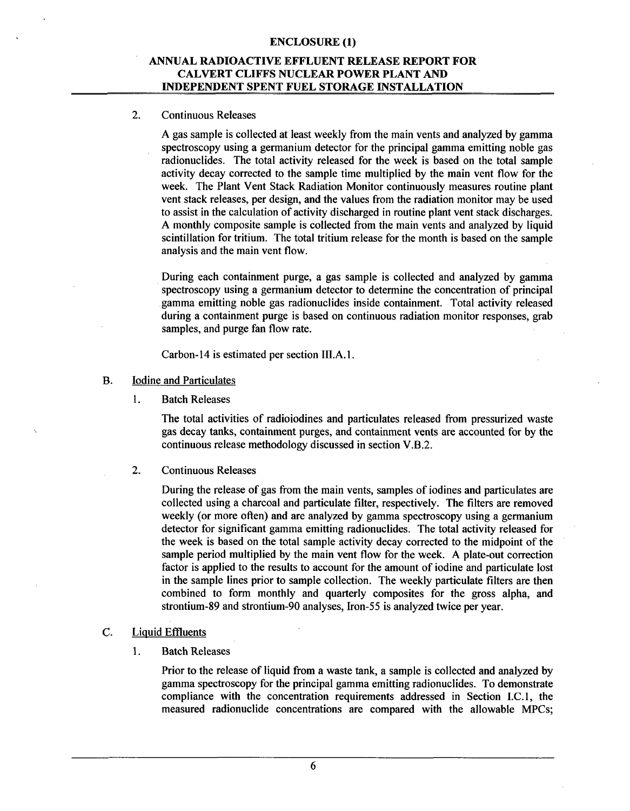## **ANNUAL** RADIOACTIVE **EFFLUENT RELEASE** REPORT FOR CALVERT **CLIFFS NUCLEAR** POWER **PLANT AND INDEPENDENT SPENT FUEL** STORAGE **INSTALLATION**

#### 2. Continuous Releases

A gas sample is collected at least weekly from the main vents and analyzed by gamma spectroscopy using a germanium detector for the principal gamma emitting noble gas radionuclides. The total activity released for the week is based on the total sample activity decay corrected to the sample time multiplied by the main vent flow for the week. The Plant Vent Stack Radiation Monitor continuously measures routine plant vent stack releases, per design, and the values from the radiation monitor may be used to assist in the calculation of activity discharged in routine plant vent stack discharges. A monthly composite sample is collected from the main vents and analyzed by liquid scintillation for tritium. The total tritium release for the month is based on the sample analysis and the main vent flow.

During each containment purge, a gas sample is collected and analyzed by gamma spectroscopy using a germanium detector to determine the concentration of principal gamma emitting noble gas radionuclides inside containment. Total activity released during a containment purge is based on continuous radiation monitor responses, grab samples, and purge fan flow rate.

Carbon-14 is estimated per section III.A. 1.

- B. Iodine and Particulates
	- **I1.** Batch Releases

The total activities of radioiodines and particulates released from pressurized waste gas decay tanks, containment purges, and containment vents are accounted for by the continuous release methodology discussed in section V.B.2.

2. Continuous Releases

During the release of gas from the main vents, samples of iodines and particulates are collected using a charcoal and particulate filter, respectively. The filters are removed weekly (or more often) and are analyzed by gamma spectroscopy using a germanium detector for significant gamma emitting radionuclides. The total activity released for the week is based on the total sample activity decay corrected to the midpoint of the sample period multiplied by the main vent flow for the week. A plate-out correction factor is applied to the results to account for the amount of iodine and particulate lost in the sample lines prior to sample collection. The weekly particulate filters are then combined to form monthly and quarterly composites for the gross alpha, and strontium-89 and strontium-90 analyses, Iron-55 is analyzed twice per year.

# C. Liquid Effluents

**I1.** Batch Releases

Prior to the release of liquid from a waste tank, a sample is collected and analyzed by gamma spectroscopy for the principal gamma emitting radionuclides. To demonstrate compliance with the concentration requirements addressed in Section I.C.1, the measured radionuclide concentrations are compared with the allowable MPCs;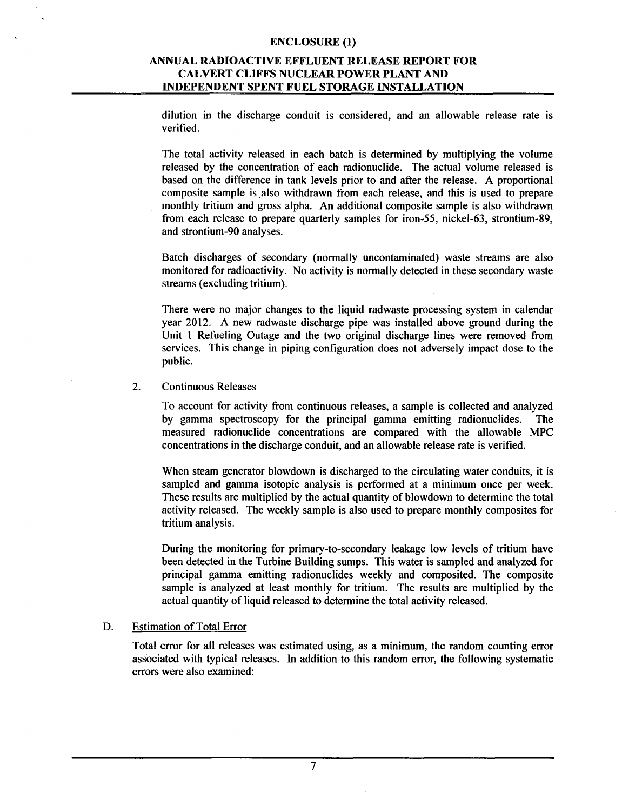# **ANNUAL** RADIOACTIVE **EFFLUENT RELEASE** REPORT FOR CALVERT **CLIFFS NUCLEAR** POWER **PLANT AND INDEPENDENT SPENT FUEL** STORAGE **INSTALLATION**

dilution in the discharge conduit is considered, and an allowable release rate is verified.

The total activity released in each batch is determined by multiplying the volume released by the concentration of each radionuclide. The actual volume released is based on the difference in tank levels prior to and after the release. A proportional composite sample is also withdrawn from each release, and this is used to prepare monthly tritium and gross alpha. An additional composite sample is also withdrawn from each release to prepare quarterly samples for iron-55, nickel-63, strontium-89, and strontium-90 analyses.

Batch discharges of secondary (normally uncontaminated) waste streams are also monitored for radioactivity. No activity is normally detected in these secondary waste streams (excluding tritium).

There were no major changes to the liquid radwaste processing system in calendar year 2012. A new radwaste discharge pipe was installed above ground during the Unit 1 Refueling Outage and the two original discharge lines were removed from services. This change in piping configuration does not adversely impact dose to the public.

#### 2. Continuous Releases

To account for activity from continuous releases, a sample is collected and analyzed by gamma spectroscopy for the principal gamma emitting radionuclides. The measured radionuclide concentrations are compared with the allowable MPC concentrations in the discharge conduit, and an allowable release rate is verified.

When steam generator blowdown is discharged to the circulating water conduits, it is sampled and gamma isotopic analysis is performed at a minimum once per week. These results are multiplied by the actual quantity of blowdown to determine the total activity released. The weekly sample is also used to prepare monthly composites for tritium analysis.

During the monitoring for primary-to-secondary leakage low levels of tritium have been detected in the Turbine Building sumps. This water is sampled and analyzed for principal gamma emitting radionuclides weekly and composited. The composite sample is analyzed at least monthly for tritium. The results are multiplied by the actual quantity of liquid released to determine the total activity released.

### D. Estimation of Total Error

Total error for all releases was estimated using, as a minimum, the random counting error associated with typical releases. In addition to this random error, the following systematic errors were also examined: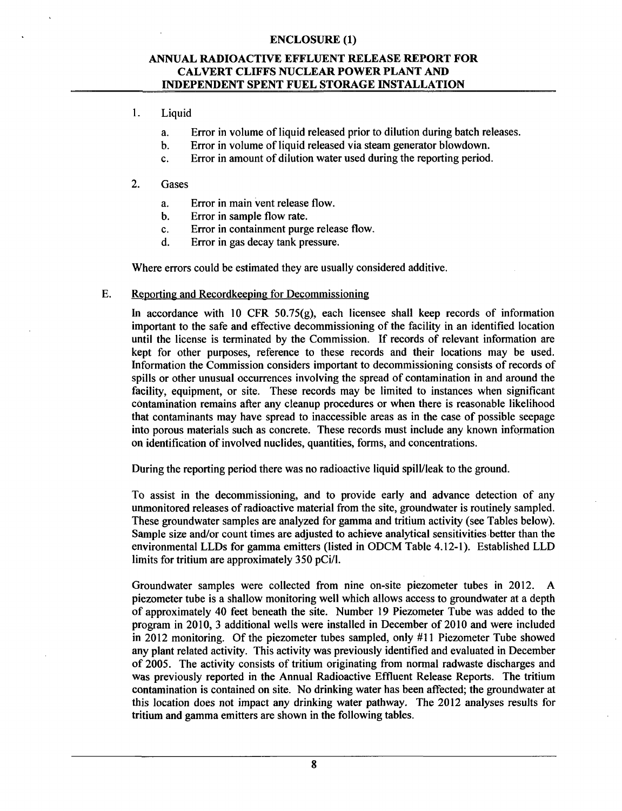# **ANNUAL** RADIOACTIVE **EFFLUENT RELEASE** REPORT FOR CALVERT **CLIFFS NUCLEAR** POWER **PLANT AND INDEPENDENT SPENT FUEL** STORAGE **INSTALLATION**

# 1. Liquid

- a. Error in volume of liquid released prior to dilution during batch releases.
- b. Error in volume of liquid released via steam generator blowdown.
- c. Error in amount of dilution water used during the reporting period.

### 2. Gases

- a. Error in main vent release flow.
- b. Error in sample flow rate.
- c. Error in containment purge release flow.
- d. Error in gas decay tank pressure.

Where errors could be estimated they are usually considered additive.

### E. Reporting and Recordkeeping for Decommissioning

In accordance with 10 CFR 50.75(g), each licensee shall keep records of information important to the safe and effective decommissioning of the facility in an identified location until the license is terminated by the Commission. If records of relevant information are kept for other purposes, reference to these records and their locations may be used. Information the Commission considers important to decommissioning consists of records of spills or other unusual occurrences involving the spread of contamination in and around the facility, equipment, or site. These records may be limited to instances when significant contamination remains after any cleanup procedures or when there is reasonable likelihood that contaminants may have spread to inaccessible areas as in the case of possible seepage into porous materials such as concrete. These records must include any known information on identification of involved nuclides, quantities, forms, and concentrations.

During the reporting period there was no radioactive liquid spill/leak to the ground.

To assist in the decommissioning, and to provide early and advance detection of any unmonitored releases of radioactive material from the site, groundwater is routinely sampled. These groundwater samples are analyzed for gamma and tritium activity (see Tables below). Sample size and/or count times are adjusted to achieve analytical sensitivities better than the environmental LLDs for gamma emitters (listed in ODCM Table 4.12-1). Established LLD limits for tritium are approximately 350 pCi/l.

Groundwater samples were collected from nine on-site piezometer tubes in 2012. A piezometer tube is a shallow monitoring well which allows access to groundwater at a depth of approximately 40 feet beneath the site. Number 19 Piezometer Tube was added to the program in 2010, 3 additional wells were installed in December of 2010 and were included in 2012 monitoring. Of the piezometer tubes sampled, only #11 Piezometer Tube showed any plant related activity. This activity was previously identified and evaluated in December of 2005. The activity consists of tritium originating from normal radwaste discharges and was previously reported in the Annual Radioactive Effluent Release Reports. The tritium contamination is contained on site. No drinking water has been affected; the groundwater at this location does not impact any drinking water pathway. The 2012 analyses results for tritium and gamma emitters are shown in the following tables.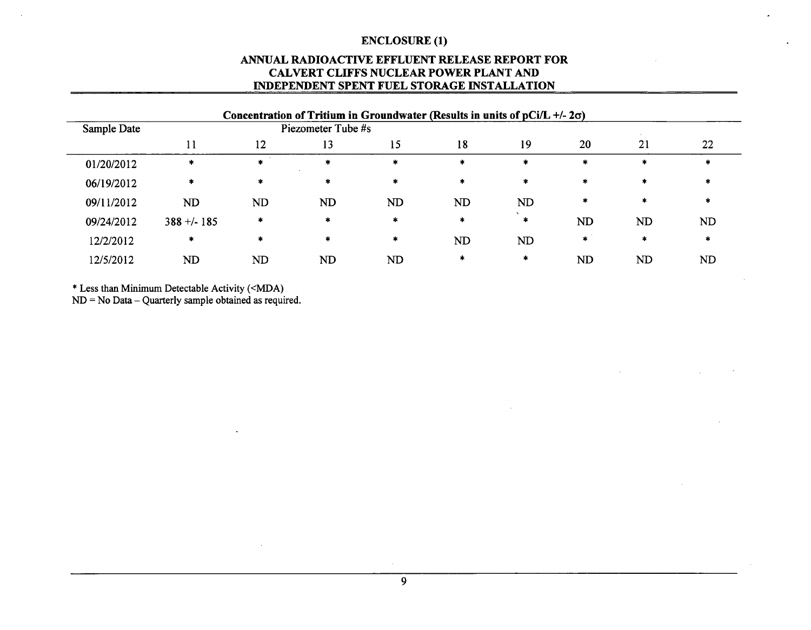# **ANNUAL** RADIOACTIVE **EFFLUENT RELEASE** REPORT FOR CALVERT **CLIFFS NUCLEAR** POWER **PLANT AND INDEPENDENT SPENT FUEL** STORAGE **INSTALLATION**

|             |               |                | Concentration of Tritium in Groundwater (Results in units of $pCi/L + (-2\sigma)$ ) |           |        |           |         |        |           |
|-------------|---------------|----------------|-------------------------------------------------------------------------------------|-----------|--------|-----------|---------|--------|-----------|
| Sample Date |               |                | Piezometer Tube #s                                                                  |           |        |           |         |        |           |
|             |               | 12             | 13                                                                                  | 15        | 18     | 19        | 20      | 21     | 22        |
| 01/20/2012  | *             | $\ast$         | $\ast$                                                                              | $\ast$    | $\ast$ | $\star$   | $\ast$  | $\ast$ | ж         |
| 06/19/2012  | $\ast$        | $\ast$         | $\star$                                                                             | $\ast$    | *      | $\star$   | $\ast$  | *      |           |
| 09/11/2012  | <b>ND</b>     | N <sub>D</sub> | <b>ND</b>                                                                           | <b>ND</b> | ND     | ND        | $\ast$  | *      |           |
| 09/24/2012  | $388 + 1.185$ | $\star$        | $\star$                                                                             | $\ast$    | *      | $\star$   | ND      | ND     | <b>ND</b> |
| 12/2/2012   | *             | $\ast$         | $\ast$                                                                              | $\ast$    | ND     | <b>ND</b> | $\star$ | *      | *         |
| 12/5/2012   | ND            | ND             | N <sub>D</sub>                                                                      | ND        | *      | $\ast$    | ND      | ND     | ND        |

\* Less than Minimum Detectable Activity (<MDA)

**ND** = No Data - Quarterly sample obtained as required.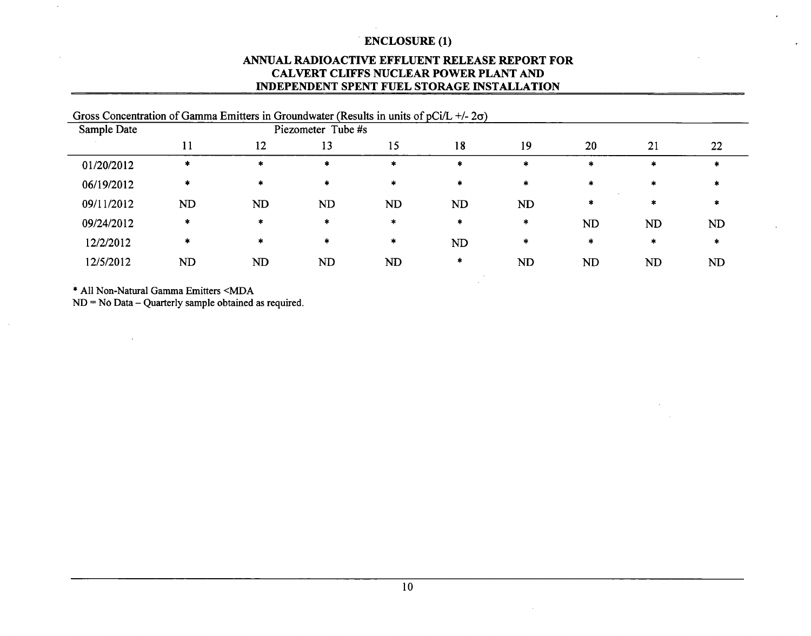# **ANNUAL** RADIOACTIVE **EFFLUENT RELEASE** REPORT FOR CALVERT **CLIFFS NUCLEAR** POWER **PLANT AND INDEPENDENT SPENT FUEL** STORAGE INSTALLATION

| Gross Concentration of Gamma Emitters in Groundwater (Results in units of pCi/L +/- $2\sigma$ ) |           |           |                    |           |        |           |           |           |           |
|-------------------------------------------------------------------------------------------------|-----------|-----------|--------------------|-----------|--------|-----------|-----------|-----------|-----------|
| Sample Date                                                                                     |           |           | Piezometer Tube #s |           |        |           |           |           |           |
|                                                                                                 |           | 12        | 13                 | 15        | 18     | 19        | 20        | 21        | 22        |
| 01/20/2012                                                                                      | $\ast$    | $\ast$    | $\ast$             | $\bullet$ | $\ast$ | $\ast$    | $\ast$    | $\star$   |           |
| 06/19/2012                                                                                      | $\ast$    | *         | $\ast$             | $\ast$    | $\ast$ | $\ast$    | $\ast$    | $\ast$    |           |
| 09/11/2012                                                                                      | <b>ND</b> | <b>ND</b> | <b>ND</b>          | <b>ND</b> | ND     | <b>ND</b> | $\ast$    | $\ast$    |           |
| 09/24/2012                                                                                      | ∗         | $\ast$    | $\star$            | $\ast$    | $\ast$ | $\ast$    | <b>ND</b> | <b>ND</b> | <b>ND</b> |
| 12/2/2012                                                                                       | *         | $\star$   | $\star$            | $\ast$    | ND     | *         | *         | $\ast$    | $\ast$    |
| 12/5/2012                                                                                       | ND        | ND        | <b>ND</b>          | ND        | ∗      | <b>ND</b> | <b>ND</b> | <b>ND</b> | ND        |

\* All Non-Natural Gamma Emitters <MDA

 $\sim$ 

 $ND = No Data - Quarterly sample obtained as required.$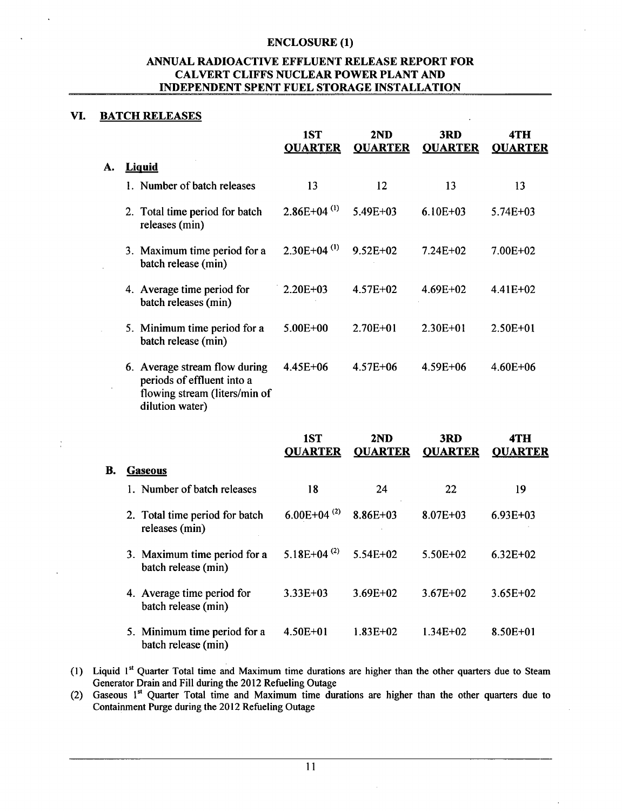# **ANNUAL** RADIOACTIVE **EFFLUENT RELEASE** REPORT FOR CALVERT **CLIFFS NUCLEAR** POWER **PLANT AND INDEPENDENT SPENT FUEL** STORAGE **INSTALLATION**

# VI. BATCH **RELEASES**

 $\frac{1}{2}$ 

|           |                                                                                                                 | 1ST<br><b>QUARTER</b>     | 2ND<br><b>QUARTER</b> | 3RD<br><b>QUARTER</b> | 4TH<br><b>QUARTER</b> |
|-----------|-----------------------------------------------------------------------------------------------------------------|---------------------------|-----------------------|-----------------------|-----------------------|
| A.        | <b>Liquid</b>                                                                                                   |                           |                       |                       |                       |
|           | 1. Number of batch releases                                                                                     | 13                        | 12                    | 13                    | 13                    |
|           | 2. Total time period for batch<br>releases (min)                                                                | $2.86E+04$ <sup>(1)</sup> | 5.49E+03              | $6.10E + 03$          | 5.74E+03              |
|           | 3. Maximum time period for a<br>batch release (min)                                                             | $2.30E+04$ <sup>(1)</sup> | 9.52E+02              | 7.24E+02              | 7.00E+02              |
|           | 4. Average time period for<br>batch releases (min)                                                              | $2.20E + 03$              | 4.57E+02              | 4.69E+02              | $4.41E+02$            |
|           | 5. Minimum time period for a<br>batch release (min)                                                             | $5.00E + 00$              | 2.70E+01              | $2.30E + 01$          | $2.50E + 01$          |
|           | 6. Average stream flow during<br>periods of effluent into a<br>flowing stream (liters/min of<br>dilution water) | 4.45E+06                  | $4.57E + 06$          | $4.59E + 06$          | 4.60E+06              |
|           |                                                                                                                 | 1ST<br><b>QUARTER</b>     | 2ND<br><b>QUARTER</b> | 3RD<br><b>QUARTER</b> | 4TH<br><b>QUARTER</b> |
| <b>B.</b> | <b>Gaseous</b>                                                                                                  |                           |                       |                       |                       |
|           | 1. Number of batch releases                                                                                     | 18                        | 24                    | 22                    | 19                    |
|           | 2. Total time period for batch<br>releases (min)                                                                | $6.00E + 04^{(2)}$        | $8.86E + 03$          | $8.07E + 03$          | $6.93E + 03$          |
|           | 3. Maximum time period for a<br>batch release (min)                                                             | 5.18E+04 $^{(2)}$         | 5.54E+02              | 5.50E+02              | $6.32E + 02$          |
|           | 4. Average time period for<br>batch release (min)                                                               | $3.33E + 03$              | 3.69E+02              | $3.67E + 02$          | 3.65E+02              |

- 5. Minimum time period for a batch release (min) 4.50E+01 1.83E+02 1.34E+02 8.50E+01
- **(1)** Liquid **I"** Quarter Total time and Maximum time durations are higher than the other quarters due to Steam Generator Drain and Fill during the 2012 Refueling Outage

(2) Gaseous **I"** Quarter Total time and Maximum time durations are higher than the other quarters due to Containment Purge during the 2012 Refueling Outage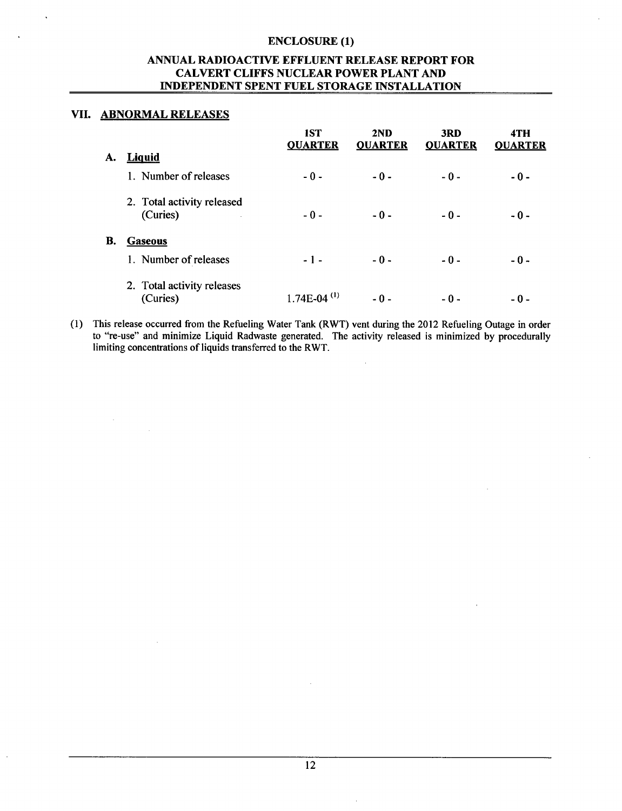# **ANNUAL** RADIOACTIVE **EFFLUENT RELEASE** REPORT FOR CALVERT **CLIFFS NUCLEAR** POWER **PLANT AND INDEPENDENT SPENT FUEL** STORAGE **INSTALLATION**

#### VII. ABNORMAL **RELEASES**

|    |                                                  | 1ST<br><b>QUARTER</b>     | 2ND<br><b>QUARTER</b> | 3RD<br><b>QUARTER</b> | 4TH<br><b>QUARTER</b> |
|----|--------------------------------------------------|---------------------------|-----------------------|-----------------------|-----------------------|
| А. | <b>Liquid</b>                                    |                           |                       |                       |                       |
|    | 1. Number of releases                            | $-0-$                     | $-0-$                 | $-0-$                 | $-0-$                 |
|    | 2. Total activity released<br>(Curies)<br>$\sim$ | $-0-$                     | $-0-$                 | $-0-$                 | $-0-$                 |
| В. | <b>Gaseous</b>                                   |                           |                       |                       |                       |
|    | 1. Number of releases                            | $-1-$                     | $-0-$                 | $-0-$                 | $-0-$                 |
|    | 2. Total activity releases<br>(Curies)           | $1.74E-04$ <sup>(1)</sup> | - 0 -                 | - 0 -                 | - 0 -                 |

(1) This release occurred from the Refueling Water Tank (RWT) vent during the 2012 Refueling Outage in order to "re-use" and minimize Liquid Radwaste generated. The activity released is minimized by procedurally limiting concentrations of liquids transferred to the RWT.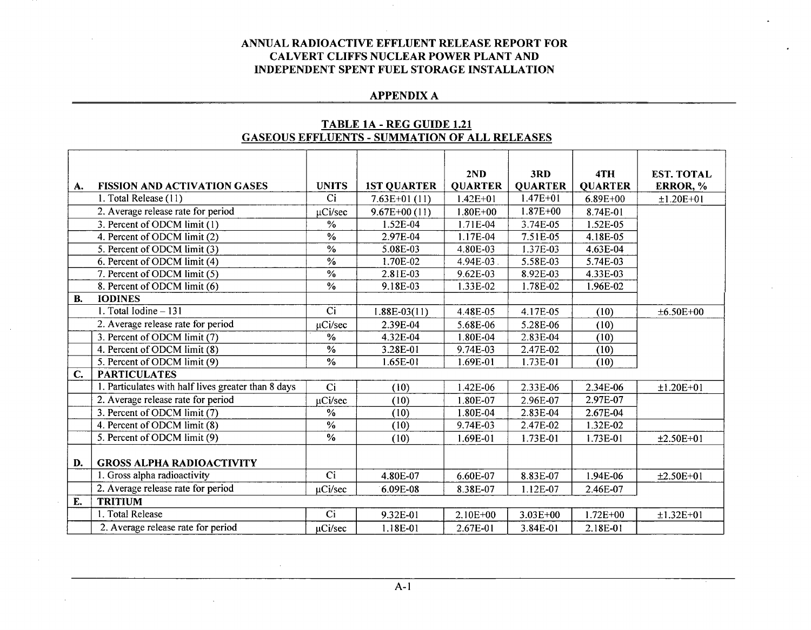# **APPENDIX A**

|               |                                                     |                          |                    | 2ND            | 3RD            | 4TH            | <b>EST. TOTAL</b> |
|---------------|-----------------------------------------------------|--------------------------|--------------------|----------------|----------------|----------------|-------------------|
| A.            | <b>FISSION AND ACTIVATION GASES</b>                 | <b>UNITS</b>             | <b>1ST QUARTER</b> | <b>QUARTER</b> | <b>QUARTER</b> | <b>QUARTER</b> | ERROR, %          |
|               | 1. Total Release (11)                               | Ci                       | $7.63E+01(11)$     | $1.42E + 01$   | $1.47E + 01$   | 6.89E+00       | $±1.20E+01$       |
|               | 2. Average release rate for period                  | µCi/sec                  | $9.67E+00(11)$     | $1.80E + 00$   | $1.87E + 00$   | 8.74E-01       |                   |
|               | 3. Percent of ODCM limit (1)                        | $\frac{0}{0}$            | 1.52E-04           | 1.71E-04       | 3.74E-05       | 1.52E-05       |                   |
|               | 4. Percent of ODCM limit (2)                        | $\overline{\frac{9}{6}}$ | 2.97E-04           | 1.17E-04       | 7.51E-05       | 4.18E-05       |                   |
|               | 5. Percent of ODCM limit (3)                        | $\frac{1}{2}$            | 5.08E-03           | 4.80E-03       | 1.37E-03       | 4.63E-04       |                   |
|               | 6. Percent of ODCM limit (4)                        | $\overline{\frac{0}{6}}$ | 1.70E-02           | 4.94E-03       | 5.58E-03       | 5.74E-03       |                   |
|               | 7. Percent of ODCM limit (5)                        | $\overline{\frac{0}{6}}$ | 2.81E-03           | 9.62E-03       | 8.92E-03       | 4.33E-03       |                   |
|               | 8. Percent of ODCM limit (6)                        | $\frac{0}{0}$            | 9.18E-03           | 1.33E-02       | 1.78E-02       | 1.96E-02       |                   |
| <b>B.</b>     | <b>IODINES</b>                                      |                          |                    |                |                |                |                   |
|               | 1. Total Iodine - 131                               | $\overline{Ci}$          | $1.88E-03(11)$     | 4.48E-05       | 4.17E-05       | (10)           | $±6.50E+00$       |
|               | 2. Average release rate for period                  | µCi/sec                  | 2.39E-04           | 5.68E-06       | 5.28E-06       | (10)           |                   |
|               | 3. Percent of ODCM limit (7)                        | %                        | 4.32E-04           | 1.80E-04       | 2.83E-04       | (10)           |                   |
|               | 4. Percent of ODCM limit (8)                        | $\frac{0}{0}$            | 3.28E-01           | 9.74E-03       | 2.47E-02       | (10)           |                   |
|               | 5. Percent of ODCM limit (9)                        | $\overline{\frac{9}{6}}$ | 1.65E-01           | 1.69E-01       | 1.73E-01       | (10)           |                   |
| $C_{\bullet}$ | <b>PARTICULATES</b>                                 |                          |                    |                |                |                |                   |
|               | 1. Particulates with half lives greater than 8 days | Ci                       | (10)               | 1.42E-06       | 2.33E-06       | 2.34E-06       | $±1.20E+01$       |
|               | 2. Average release rate for period                  | µCi/sec                  | (10)               | 1.80E-07       | 2.96E-07       | 2.97E-07       |                   |
|               | 3. Percent of ODCM limit (7)                        | $\frac{0}{6}$            | (10)               | 1.80E-04       | 2.83E-04       | 2.67E-04       |                   |
|               | 4. Percent of ODCM limit (8)                        | $\frac{0}{6}$            | (10)               | 9.74E-03       | 2.47E-02       | 1.32E-02       |                   |
|               | 5. Percent of ODCM limit (9)                        | $\frac{0}{0}$            | (10)               | 1.69E-01       | 1.73E-01       | 1.73E-01       | $±2.50E+01$       |
|               |                                                     |                          |                    |                |                |                |                   |
| D.            | <b>GROSS ALPHA RADIOACTIVITY</b>                    |                          |                    |                |                |                |                   |
|               | 1. Gross alpha radioactivity                        | Ci                       | 4.80E-07           | 6.60E-07       | 8.83E-07       | 1.94E-06       | $±2.50E+01$       |
|               | 2. Average release rate for period                  | $\mu$ Ci/sec             | 6.09E-08           | 8.38E-07       | 1.12E-07       | 2.46E-07       |                   |
| E.            | <b>TRITIUM</b>                                      |                          |                    |                |                |                |                   |
|               | 1. Total Release                                    | Ci                       | 9.32E-01           | $2.10E + 00$   | $3.03E + 00$   | $1.72E + 00$   | $±1.32E+01$       |
|               | 2. Average release rate for period                  | µCi/sec                  | 1.18E-01           | 2.67E-01       | 3.84E-01       | 2.18E-01       |                   |

# TABLE **1A** - REG **GUIDE** 1.21 **GASEOUS EFFLUENTS** - **SUMMATION** OF **ALL RELEASES**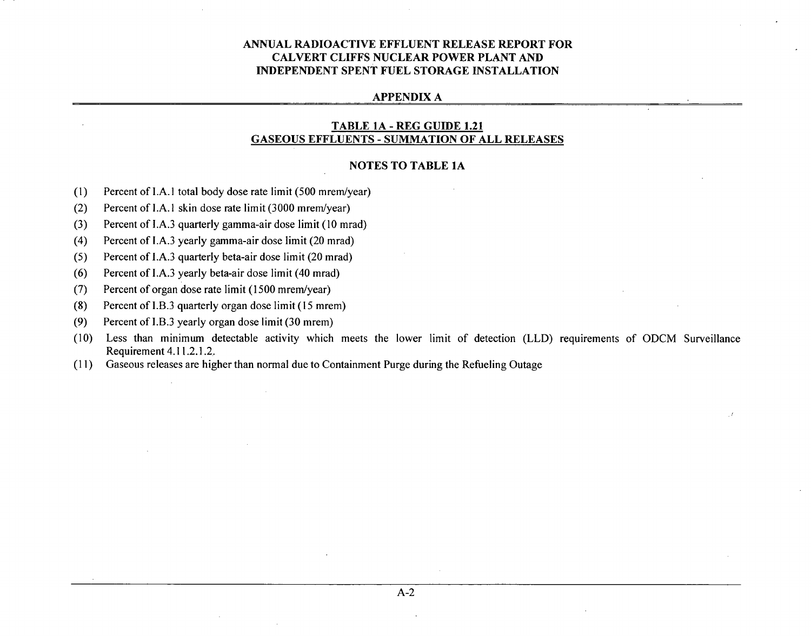#### **APPENDIX A**

#### TABLE **1A** - REG **GUIDE** 1.21 **GASEOUS EFFLUENTS** - **SUMMATION** OF **ALL RELEASES**

#### **NOTES** TO TABLE **1A**

- (1) Percent of I.A.1 total body dose rate limit (500 mrem/year)
- (2) Percent of I.A. **I** skin dose rate limit (3000 mrem/year)
- (3) Percent of I.A.3 quarterly gamma-air dose limit (10 mrad)
- (4) Percent of I.A.3 yearly gamma-air dose limit (20 mrad)
- (5) Percent of I.A.3 quarterly beta-air dose limit (20 mrad)
- (6) Percent of I.A.3 yearly beta-air dose limit (40 mrad)
- (7) Percent of organ dose rate limit (1500 mrem/year)
- (8) Percent of I.B.3 quarterly organ dose limit **(15** mrem)
- (9) Percent of I.B.3 yearly organ dose limit (30 mrem)
- (10) Less than minimum detectable activity which meets the lower limit of detection (LLD) requirements of ODCM Surveillance Requirement 4.11.2.1.2..
- (11) Gaseous releases are higher than normal due to Containment Purge during the Refueling Outage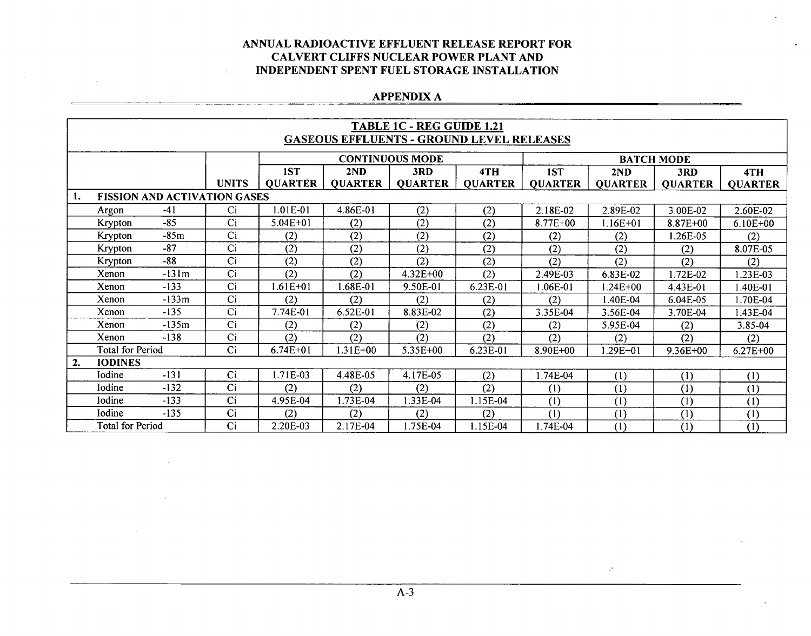# **APPENDIX A**

|    | <b>TABLE 1C - REG GUIDE 1.21</b>                 |                                     |              |                |                |                        |                |                |                |                   |                |  |
|----|--------------------------------------------------|-------------------------------------|--------------|----------------|----------------|------------------------|----------------|----------------|----------------|-------------------|----------------|--|
|    | <b>GASEOUS EFFLUENTS - GROUND LEVEL RELEASES</b> |                                     |              |                |                |                        |                |                |                |                   |                |  |
|    |                                                  |                                     |              |                |                | <b>CONTINUOUS MODE</b> |                |                |                | <b>BATCH MODE</b> |                |  |
|    |                                                  |                                     |              | 1ST            | 2ND            | 3RD                    | 4TH            | 1ST            | 2ND            | 3RD               | 4TH            |  |
|    |                                                  |                                     | <b>UNITS</b> | <b>QUARTER</b> | <b>QUARTER</b> | <b>QUARTER</b>         | <b>QUARTER</b> | <b>QUARTER</b> | <b>QUARTER</b> | <b>QUARTER</b>    | <b>QUARTER</b> |  |
| 1. |                                                  | <b>FISSION AND ACTIVATION GASES</b> |              |                |                |                        |                |                |                |                   |                |  |
|    | Argon                                            | $-41$                               | Ci           | 1.01E-01       | 4.86E-01       | (2)                    | (2)            | 2.18E-02       | 2.89E-02       | 3.00E-02          | 2.60E-02       |  |
|    | Krypton                                          | $-85$                               | Ci           | $5.04E + 01$   | (2)            | (2)                    | (2)            | 8.77E+00       | $1.16E + 01$   | $8.87E + 00$      | $6.10E + 00$   |  |
|    | Krypton                                          | -85m                                | Ci           | (2)            | (2)            | (2)                    | (2)            | (2)            | (2)            | 1.26E-05          | (2)            |  |
|    | Krypton                                          | $-87$                               | Ci           | (2)            | (2)            | (2)                    | (2)            | (2)            | (2)            | (2)               | 8.07E-05       |  |
|    | Krypton                                          | $-88$                               | Ci           | (2)            | (2)            | (2)                    | (2)            | (2)            | (2)            | (2)               | (2)            |  |
|    | Xenon                                            | $-131m$                             | Ci           | (2)            | (2)            | 4.32E+00               | (2)            | 2.49E-03       | 6.83E-02       | 1.72E-02          | $1.23E-03$     |  |
|    | Xenon                                            | $-133$                              | Ci           | $1.61E + 01$   | 1.68E-01       | 9.50E-01               | 6.23E-01       | 1.06E-01       | $1.24E + 00$   | 4.43E-01          | 1.40E-01       |  |
|    | Xenon                                            | $-133m$                             | Ci           | (2)            | (2)            | (2)                    | (2)            | (2)            | 1.40E-04       | 6.04E-05          | 1.70E-04       |  |
|    | Xenon                                            | $-135$                              | Ci           | 7.74E-01       | 6.52E-01       | 8.83E-02               | (2)            | 3.35E-04       | 3.56E-04       | 3.70E-04          | 1.43E-04       |  |
|    | Xenon                                            | $-135m$                             | Ci           | (2)            | (2)            | (2)                    | (2)            | (2)            | 5.95E-04       | (2)               | 3.85-04        |  |
|    | Xenon                                            | $-138$                              | Ci           | (2)            | (2)            | (2)                    | (2)            | (2)            | (2)            | (2)               | (2)            |  |
|    | <b>Total for Period</b>                          |                                     | Ci           | $6.74E + 01$   | $1.31E + 00$   | 5.35E+00               | 6.23E-01       | 8.90E+00       | $1.29E + 01$   | 9.36E+00          | $6.27E + 00$   |  |
| 2. | <b>IODINES</b>                                   |                                     |              |                |                |                        |                |                |                |                   |                |  |
|    | Iodine                                           | $-131$                              | Ci           | 1.71E-03       | 4.48E-05       | 4.17E-05               | (2)            | 1.74E-04       | (1)            | (1)               | (1)            |  |
|    | Iodine                                           | $-132$                              | Ci           | (2)            | (2)            | (2)                    | (2)            | (1)            | (1)            | (1)               | (1)            |  |
|    | Iodine                                           | $-133$                              | Ci           | 4.95E-04       | 1.73E-04       | 1.33E-04               | 1.15E-04       | (1)            | (1)            | (1)               | (1)            |  |
|    | Iodine                                           | $-135$                              | Ci           | (2)            | (2)            | (2)                    | (2)            | (1)            | (1)            | (1)               | (1)            |  |
|    | <b>Total for Period</b>                          |                                     | Ci           | 2.20E-03       | 2.17E-04       | 1.75E-04               | 1.15E-04       | 1.74E-04       | (1)            | (1)               | (1)            |  |

 $\mathcal{P}$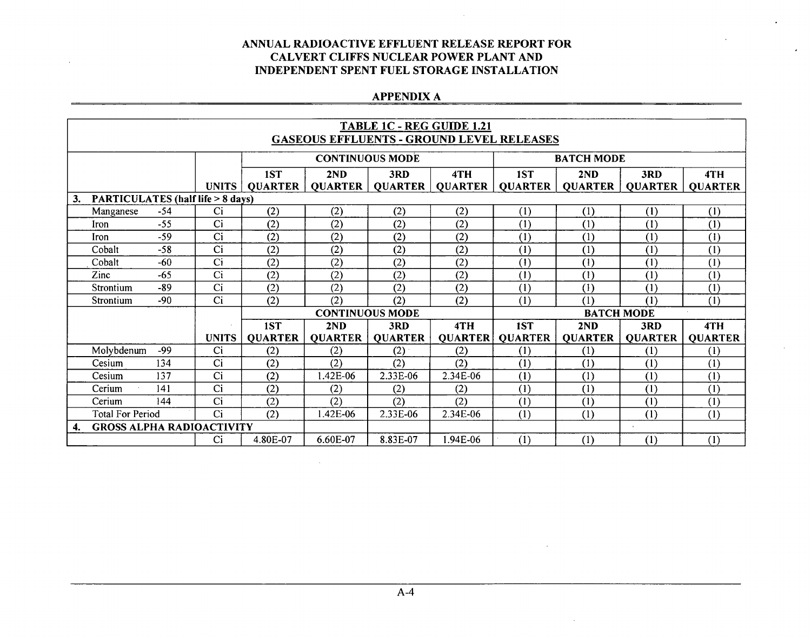# **APPENDIX A**

|           | <b>TABLE 1C - REG GUIDE 1.21</b><br><b>GASEOUS EFFLUENTS - GROUND LEVEL RELEASES</b> |       |                                             |                |                        |                |                |                |                   |                |                |
|-----------|--------------------------------------------------------------------------------------|-------|---------------------------------------------|----------------|------------------------|----------------|----------------|----------------|-------------------|----------------|----------------|
|           |                                                                                      |       |                                             |                |                        |                |                |                |                   |                |                |
|           |                                                                                      |       |                                             |                | <b>CONTINUOUS MODE</b> |                |                |                | <b>BATCH MODE</b> |                |                |
|           |                                                                                      |       |                                             | 1ST            | 2ND                    | 3RD            | 4TH            | 1ST            | 2ND               | 3RD            | 4TH            |
|           |                                                                                      |       | <b>UNITS</b>                                | <b>OUARTER</b> | <b>QUARTER</b>         | <b>QUARTER</b> | QUARTER        | <b>QUARTER</b> | <b>QUARTER</b>    | <b>OUARTER</b> | <b>QUARTER</b> |
| 3.        |                                                                                      |       | <b>PARTICULATES (half life &gt; 8 days)</b> |                |                        |                |                |                |                   |                |                |
|           | Manganese                                                                            | $-54$ | Ci                                          | (2)            | (2)                    | (2)            | (2)            | (1)            | (1)               | (1)            | (1)            |
| Iron      |                                                                                      | $-55$ | Ci                                          | (2)            | (2)                    | (2)            | (2)            | (1)            | (1)               | (1)            | (1)            |
| Iron      |                                                                                      | $-59$ | Ci                                          | (2)            | (2)                    | (2)            | (2)            | (1)            | (1)               | (1)            | (1)            |
| Cobalt    |                                                                                      | $-58$ | Ci                                          | (2)            | (2)                    | (2)            | (2)            | (1)            | (1)               | (1)            | (1)            |
| Cobalt    |                                                                                      | $-60$ | Ci                                          | (2)            | (2)                    | (2)            | (2)            | (1)            | (1)               | (1)            | (1)            |
| Zinc      |                                                                                      | $-65$ | Ci                                          | (2)            | (2)                    | (2)            | (2)            | (1)            | (1)               | (1)            | (1)            |
| Strontium |                                                                                      | $-89$ | Ci                                          | (2)            | (2)                    | (2)            | (2)            | (1)            | (1)               | (1)            | (1)            |
| Strontium |                                                                                      | $-90$ | Ci                                          | (2)            | (2)                    | (2)            | (2)            | (1)            | (1)               | (1)            | (1)            |
|           |                                                                                      |       |                                             |                | <b>CONTINUOUS MODE</b> |                |                |                | <b>BATCH MODE</b> |                |                |
|           |                                                                                      |       |                                             | 1ST            | 2ND                    | 3RD            | 4TH            | 1ST            | 2ND               | 3RD            | 4TH            |
|           |                                                                                      |       | <b>UNITS</b>                                | <b>QUARTER</b> | <b>QUARTER</b>         | <b>QUARTER</b> | <b>QUARTER</b> | <b>QUARTER</b> | <b>QUARTER</b>    | <b>QUARTER</b> | <b>QUARTER</b> |
|           | Molybdenum                                                                           | -99   | Ci                                          | (2)            | (2)                    | (2)            | (2)            | (1)            | (1)               | (1)            | (1)            |
| Cesium    |                                                                                      | 134   | Ci                                          | (2)            | (2)                    | (2)            | (2)            | (1)            | (1)               | (1)            | (1)            |
| Cesium    |                                                                                      | 137   | Ci                                          | (2)            | 1.42E-06               | 2.33E-06       | 2.34E-06       | (1)            | (1)               | (1)            | (1)            |
| Cerium    |                                                                                      | 141   | Ci                                          | (2)            | (2)                    | (2)            | (2)            | (1)            | (1)               | (1)            | (1)            |
| Cerium    |                                                                                      | 144   | Ci                                          | (2)            | (2)                    | (2)            | (2)            | (1)            | (1)               | (1)            | (1)            |
|           | <b>Total For Period</b><br>Ci<br>(2)                                                 |       |                                             |                |                        | 2.33E-06       | 2.34E-06       | (1)            | (1)               | (1)            | (1)            |
| 4.        |                                                                                      |       | <b>GROSS ALPHA RADIOACTIVITY</b>            |                |                        |                |                |                |                   |                |                |
|           |                                                                                      |       | Ci                                          | 4.80E-07       | 6.60E-07               | 8.83E-07       | 1.94E-06       | (1)            | (1)               | (1)            | (1)            |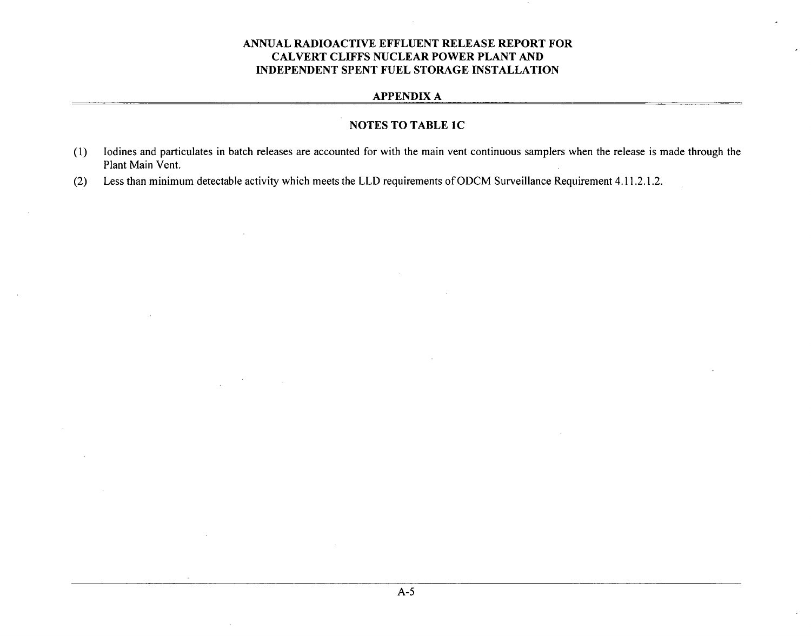# **APPENDIX A**

# **NOTES** TO TABLE **IC**

- (1) lodines and particulates in batch releases are accounted for with the main vent continuous samplers when the release is made through the Plant Main Vent.
- (2) Less than minimum detectable activity which meets the LLD requirements of ODCM Surveillance Requirement 4.11 .2.1.2.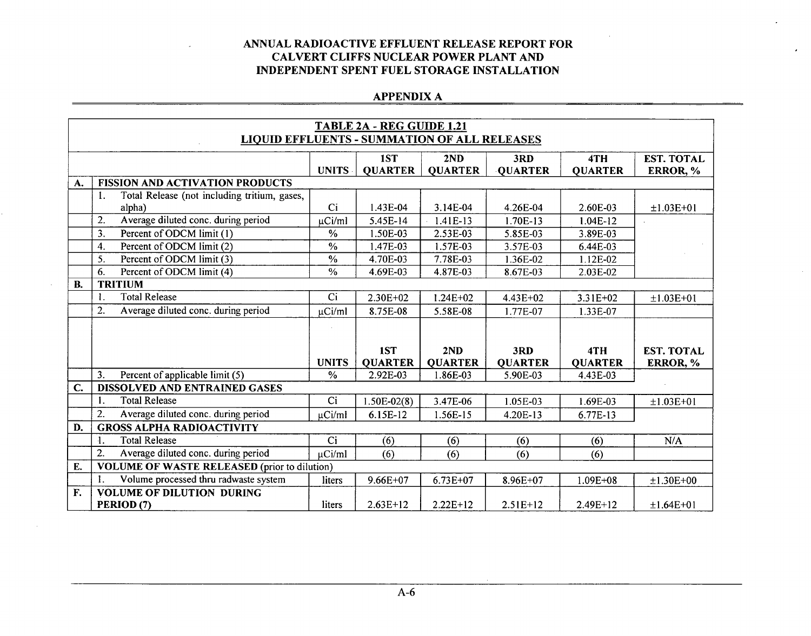# **APPENDIX A**

|                  | TABLE 2A - REG GUIDE 1.21 |                                                     |               |                |                |                |                |                   |  |  |  |
|------------------|---------------------------|-----------------------------------------------------|---------------|----------------|----------------|----------------|----------------|-------------------|--|--|--|
|                  |                           | <b>LIQUID EFFLUENTS - SUMMATION OF ALL RELEASES</b> |               |                |                |                |                |                   |  |  |  |
|                  |                           |                                                     |               | 1ST            | 2ND            | 3RD            | 4TH            | <b>EST. TOTAL</b> |  |  |  |
|                  |                           |                                                     | <b>UNITS</b>  | <b>OUARTER</b> | <b>QUARTER</b> | <b>QUARTER</b> | <b>QUARTER</b> | ERROR, %          |  |  |  |
| A.               |                           | <b>FISSION AND ACTIVATION PRODUCTS</b>              |               |                |                |                |                |                   |  |  |  |
|                  | 1.                        | Total Release (not including tritium, gases,        |               |                |                |                |                |                   |  |  |  |
|                  |                           | alpha)                                              | Ci            | 1.43E-04       | 3.14E-04       | 4.26E-04       | 2.60E-03       | $±1.03E+01$       |  |  |  |
|                  | 2.                        | Average diluted conc. during period                 | µCi/ml        | 5.45E-14       | 1.41E-13       | 1.70E-13       | $1.04E-12$     |                   |  |  |  |
|                  | 3.                        | Percent of ODCM limit (1)                           | %             | 1.50E-03       | 2.53E-03       | 5.85E-03       | 3.89E-03       |                   |  |  |  |
|                  | 4.                        | Percent of ODCM limit (2)                           | $\frac{0}{0}$ | 1.47E-03       | 1.57E-03       | 3.57E-03       | 6.44E-03       |                   |  |  |  |
|                  | 5.                        | Percent of ODCM limit (3)                           | $\%$          | 4.70E-03       | 7.78E-03       | 1.36E-02       | 1.12E-02       |                   |  |  |  |
|                  | 6.                        | Percent of ODCM limit (4)                           | $\frac{0}{0}$ | 4.69E-03       | 4.87E-03       | 8.67E-03       | 2.03E-02       |                   |  |  |  |
| <b>B.</b>        |                           | <b>TRITIUM</b>                                      |               |                |                |                |                |                   |  |  |  |
|                  | l.                        | <b>Total Release</b>                                | Ci            | 2.30E+02       | $1.24E + 02$   | 4.43E+02       | $3.31E+02$     | $±1.03E+01$       |  |  |  |
|                  | 2.                        | Average diluted conc. during period                 | µCi/ml        | 8.75E-08       | 5.58E-08       | 1.77E-07       | 1.33E-07       |                   |  |  |  |
|                  |                           |                                                     |               |                |                |                |                |                   |  |  |  |
|                  |                           |                                                     |               |                |                |                |                |                   |  |  |  |
|                  |                           |                                                     |               | 1ST            | 2ND            | 3RD            | 4TH            | <b>EST. TOTAL</b> |  |  |  |
|                  |                           |                                                     | <b>UNITS</b>  | <b>QUARTER</b> | <b>QUARTER</b> | <b>QUARTER</b> | <b>QUARTER</b> | ERROR, %          |  |  |  |
|                  | 3.                        | Percent of applicable limit (5)                     | $\%$          | 2.92E-03       | 1.86E-03       | 5.90E-03       | 4.43E-03       |                   |  |  |  |
| $\overline{C}$ . |                           | DISSOLVED AND ENTRAINED GASES                       |               |                |                |                |                |                   |  |  |  |
|                  | 1.                        | <b>Total Release</b>                                | Ci            | $1.50E-02(8)$  | 3.47E-06       | 1.05E-03       | 1.69E-03       | $±1.03E+01$       |  |  |  |
|                  | 2.                        | Average diluted conc. during period                 | µCi/ml        | 6.15E-12       | 1.56E-15       | 4.20E-13       | 6.77E-13       |                   |  |  |  |
| D.               |                           | <b>GROSS ALPHA RADIOACTIVITY</b>                    |               |                |                |                |                |                   |  |  |  |
|                  | 1.                        | <b>Total Release</b>                                | Ci            | (6)            | (6)            | (6)            | (6)            | N/A               |  |  |  |
|                  | 2.                        | Average diluted conc. during period                 | $\mu$ Ci/ml   | (6)            | (6)            | (6)            | (6)            |                   |  |  |  |
| E.               |                           | <b>VOLUME OF WASTE RELEASED (prior to dilution)</b> |               |                |                |                |                |                   |  |  |  |
|                  | 1.                        | Volume processed thru radwaste system               | liters        | $9.66E + 07$   | 6.73E+07       | 8.96E+07       | $1.09E + 08$   | $±1.30E+00$       |  |  |  |
| F.               |                           | <b>VOLUME OF DILUTION DURING</b>                    |               |                |                |                |                |                   |  |  |  |
|                  |                           | PERIOD (7)                                          | liters        | $2.63E+12$     | $2.22E+12$     | $2.51E+12$     | $2.49E+12$     | $±1.64E+01$       |  |  |  |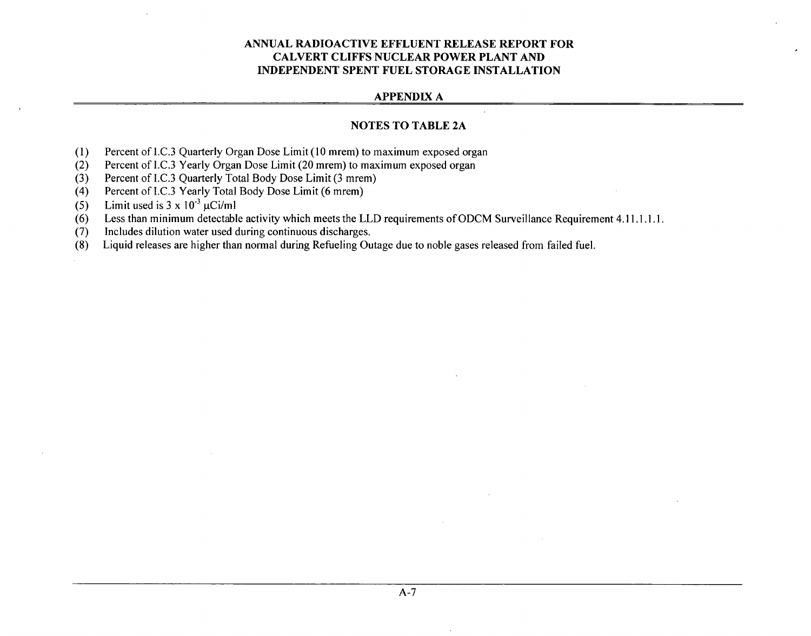#### **APPENDIX A**

# **NOTES** TO TABLE **2A**

- (1) Percent of 1.C.3 Quarterly Organ Dose Limit (10 mrem) to maximum exposed organ
- (2) Percent of I.C.3 Yearly Organ Dose Limit (20 mrem) to maximum exposed organ
- (3) Percent of I.C.3 Quarterly Total Body Dose Limit (3 mrem)
- (4) Percent of I.C.3 Yearly Total Body Dose Limit (6 mrem)
- (5) Limit used is  $3 \times 10^{-3} \mu$ Ci/ml
- $(6)$  Less than minimum detectable activity which meets the LLD requirements of ODCM Surveillance Requirement 4.11.1.1.1.1.
- (7) Includes dilution water used during continuous discharges.
- (8) Liquid releases are higher than normal during Refueling Outage due to noble gases released from failed fuel.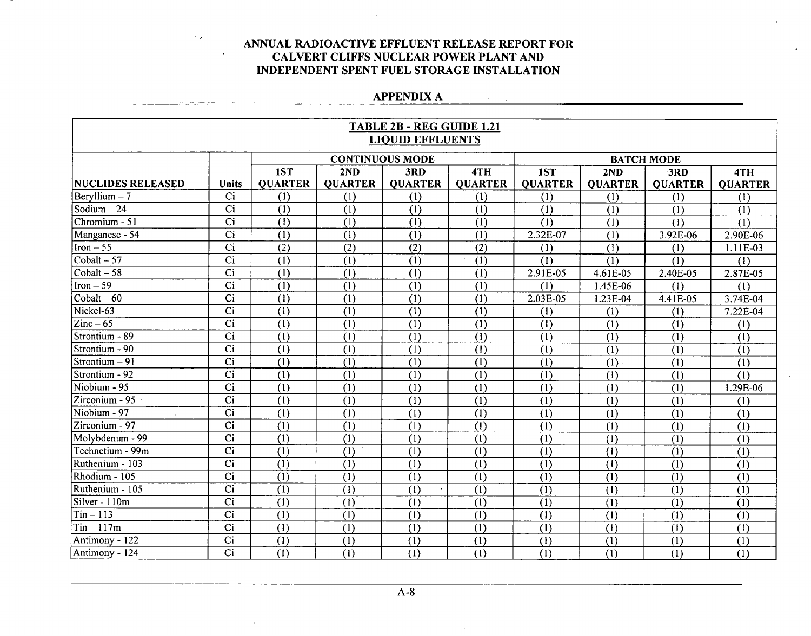# **APPENDIX A**

 $\sim$ 

|                          |                 |                |                | TABLE 2B - REG GUIDE 1.21 |                  |                  |                           |                   |                  |
|--------------------------|-----------------|----------------|----------------|---------------------------|------------------|------------------|---------------------------|-------------------|------------------|
|                          |                 |                |                | <b>LIQUID EFFLUENTS</b>   |                  |                  |                           |                   |                  |
|                          |                 |                |                | <b>CONTINUOUS MODE</b>    |                  |                  |                           | <b>BATCH MODE</b> |                  |
|                          |                 | 1ST            | 2ND            | 3RD                       | 4TH              | 1ST              | 2ND                       | 3RD               | 4TH              |
| <b>NUCLIDES RELEASED</b> | <b>Units</b>    | <b>OUARTER</b> | <b>OUARTER</b> | <b>OUARTER</b>            | <b>OUARTER</b>   | <b>OUARTER</b>   | <b>QUARTER</b>            | <b>OUARTER</b>    | <b>OUARTER</b>   |
| $Bervllium - 7$          | Ci              | (1)            | (1)            | (1)                       | (1)              | (1)              | (1)                       | (1)               | (1)              |
| Sodium $-24$             | $\overline{Ci}$ | (1)            | (1)            | (1)                       | (1)              | (1)              | (1)                       | (1)               | (1)              |
| Chromium - 51            | $\overline{Ci}$ | (1)            | (1)            | (1)                       | (1)              | (1)              | (1)                       | (1)               | (1)              |
| Manganese - 54           | $\overline{Ci}$ | (1)            | (1)            | (1)                       | (1)              | 2.32E-07         | (1)                       | 3.92E-06          | 2.90E-06         |
| $\text{Iron} - 55$       | $\overline{Ci}$ | (2)            | (2)            | (2)                       | (2)              | (1)              | (1)                       | (1)               | 1.11E-03         |
| $Cobalt - 57$            | $\overline{Ci}$ | (1)            | (1)            | (1)                       | (1)              | (1)              | (1)                       | (1)               | (1)              |
| $Cobalt - 58$            | $\overline{Ci}$ | (1)            | (1)            | (1)                       | (1)              | 2.91E-05         | 4.61E-05                  | 2.40E-05          | 2.87E-05         |
| $Iron-59$                | Ci              | (1)            | (1)            | (1)                       | (1)              | (1)              | 1.45E-06                  | (1)               | (1)              |
| $\text{Cobalt} - 60$     | $\overline{Ci}$ | (1)            | (1)            | (1)                       | (1)              | 2.03E-05         | 1.23E-04                  | 4.41E-05          | 3.74E-04         |
| Nickel-63                | $\overline{ci}$ | (1)            | (1)            | (1)                       | (1)              | (1)              | (1)                       | (1)               | 7.22E-04         |
| $\text{Zinc}-65$         | $\overline{Ci}$ | (1)            | (1)            | (1)                       | (1)              | (1)              | $\overline{(1)}$          | (1)               | (1)              |
| Strontium - 89           | $\overline{Ci}$ | (1)            | (1)            | (1)                       | (1)              | (1)              | (1)                       | (1)               | (1)              |
| Strontium - 90           | $\overline{Ci}$ | (1)            | (1)            | (1)                       | (1)              | (1)              | (1)                       | (1)               | $\overline{(1)}$ |
| Strontium $-91$          | Ci              | (1)            | (1)            | (1)                       | (1)              | $\overline{(1)}$ | (1)                       | (1)               | (1)              |
| Strontium - 92           | C <sub>i</sub>  | (1)            | (1)            | (1)                       | (1)              | (1)              | (1)                       | (1)               | (1)              |
| Niobium - 95             | $\overline{ci}$ | (1)            | (1)            | (1)                       | (1)              | (1)              | (1)                       | (1)               | 1.29E-06         |
| Zirconium - 95 ·         | $\overline{Ci}$ | (1)            | (1)            | (1)                       | (1)              | (1)              | (1)                       | (1)               | (1)              |
| Niobium - 97             | Ci              | (1)            | (1)            | (1)                       | (1)              | (1)              | (1)                       | (1)               | (1)              |
| Zirconium - 97           | $\overline{Ci}$ | (1)            | (1)            | (1)                       | (1)              | (1)              | (1)                       | (1)               | (1)              |
| Molybdenum - 99          | $\overline{Ci}$ | (1)            | (1)            | (1)                       | (1)              | (1)              | (1)                       | (1)               | (1)              |
| Technetium - 99m         | $\overline{Ci}$ | (1)            | (1)            | (1)                       | (1)              | (1)              | (1)                       | (1)               | (1)              |
| Ruthenium - 103          | $\overline{Ci}$ | (1)            | (1)            | (1)                       | (1)              | (1)              | $\overline{(\mathbf{1})}$ | (1)               | $\overline{(1)}$ |
| Rhodium - 105            | $\overline{Ci}$ | $\overline{1}$ | (1)            | $\overline{(1)}$          | $\overline{(1)}$ | (1)              | $\overline{(1)}$          | $\overline{(1)}$  | $\overline{(1)}$ |
| Ruthenium - 105          | $\overline{Ci}$ | (1)            | (1)            | (1)                       | (1)              | (1)              | (1)                       | (1)               | (1)              |
| Silver - 110m            | Ci              | (1)            | (1)            | (1)                       | (1)              | (1)              | (1)                       | (1)               | (1)              |
| $Tin - 113$              | $\overline{Ci}$ | (1)            | (1)            | $\overline{(1)}$          | (1)              | (1)              | (1)                       | (1)               | (1)              |
| $Tin - 117m$             | $\overline{Ci}$ | (1)            | (1)            | (1)                       | (1)              | (1)              | (1)                       | (1)               | (1)              |
| Antimony - 122           | Ci              | (1)            | (1)            | (1)                       | (1)              | (1)              | (1)                       | (1)               | (1)              |
| Antimony - 124           | $\overline{Ci}$ | (1)            | (1)            | (1)                       | (1)              | (1)              | (1)                       | (1)               | (1)              |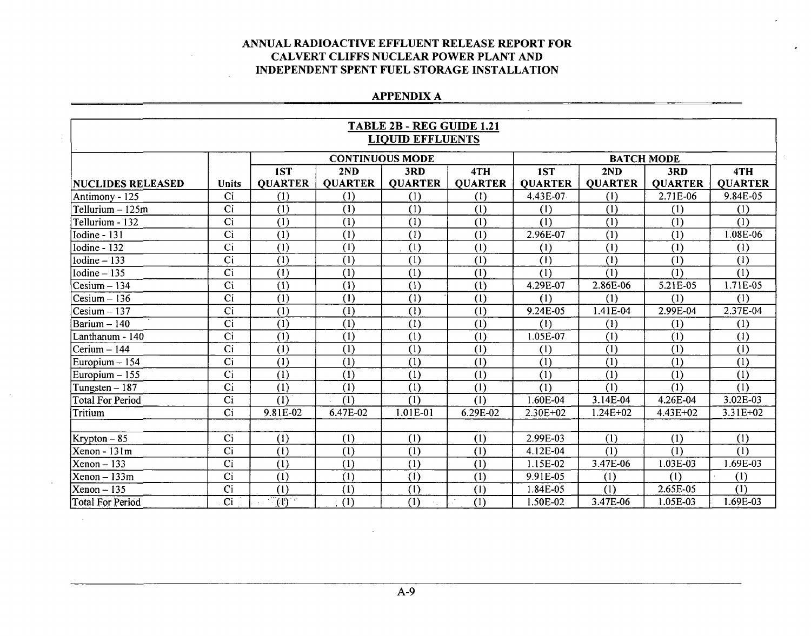# **APPENDIX A**

|                          | TABLE 2B - REG GUIDE 1.21<br><b>LIOUID EFFLUENTS</b> |                |                         |                           |                |                |                  |                   |                           |  |  |
|--------------------------|------------------------------------------------------|----------------|-------------------------|---------------------------|----------------|----------------|------------------|-------------------|---------------------------|--|--|
|                          |                                                      |                |                         | <b>CONTINUOUS MODE</b>    |                |                |                  | <b>BATCH MODE</b> |                           |  |  |
|                          |                                                      | 1ST            | 2ND                     | 3RD                       | 4TH            | 1ST            | 2ND              | 3RD               | 4TH                       |  |  |
| <b>NUCLIDES RELEASED</b> | <b>Units</b>                                         | <b>QUARTER</b> | <b>QUARTER</b>          | <b>QUARTER</b>            | <b>QUARTER</b> | <b>QUARTER</b> | <b>QUARTER</b>   | <b>QUARTER</b>    | <b>QUARTER</b>            |  |  |
| Antimony - 125           | Ci                                                   | (1)            | (1)                     | (1)                       | (1)            | 4.43E-07       | (1)              | 2.71E-06          | 9.84E-05                  |  |  |
| Tellurium - 125m         | Ci                                                   | (1)            | (1)                     | (1)                       | (1)            | (1)            | (1)              | (1)               | (1)                       |  |  |
| Tellurium - 132          | Ci                                                   | (1)            | (1)                     | (1)                       | (1)            | (1)            | (1)              | (1)               | (1)                       |  |  |
| Iodine - 131             | Ci                                                   | (1)            | (1)                     | (1)                       | (1)            | 2.96E-07       | (1)              | (1)               | 1.08E-06                  |  |  |
| Iodine - $132$           | Ci                                                   | (1)            | (1)                     | (1)                       | (1)            | (1)            | (1)              | (1)               | (1)                       |  |  |
| Iodine $-133$            | $\overline{Ci}$                                      | (1)            | (1)                     | (1)                       | (1)            | (1)            | (1)              | (1)               | (1)                       |  |  |
| Iodine $-135$            | Ci                                                   | (1)            | (1)                     | (1)                       | (1)            | (1)            | (1)              | (1)               | (1)                       |  |  |
| $Cesium - 134$           | $\overline{Ci}$                                      | (1)            | (1)                     | (1)                       | (1)            | 4.29E-07       | 2.86E-06         | 5.21E-05          | 1.71E-05                  |  |  |
| $Cesium - 136$           | Ci                                                   | (1)            | (1)                     | $\overline{(\mathbf{1})}$ | (1)            | (1)            | (1)              | (1)               | (1)                       |  |  |
| $Cesium - 137$           | $\overline{Ci}$                                      | (1)            | (1)                     | (1)                       | (1)            | 9.24E-05       | 1.41E-04         | 2.99E-04          | 2.37E-04                  |  |  |
| Barium - 140             | Ci                                                   | (1)            | (1)                     | (1)                       | (1)            | (1)            | (1)              | (1)               | (1)                       |  |  |
| Lanthanum - 140          | $\overline{Ci}$                                      | (1)            | (1)                     | (1)                       | (1)            | 1.05E-07       | (1)              | (1)               | (1)                       |  |  |
| Cerium – 144             | Ci                                                   | (1)            | (1)                     | (1)                       | (1)            | (1)            | $\overline{(1)}$ | (1)               | $\overline{(\mathbf{l})}$ |  |  |
| Europium - 154           | Ci                                                   | (1)            | (1)                     | (1)                       | (1)            | (1)            | (1)              | (1)               | (1)                       |  |  |
| Europium - 155           | Ci                                                   | (1)            | (1)                     | (1)                       | (1)            | (1)            | (1)              | (1)               | (1)                       |  |  |
| Tungsten $-187$          | Ci                                                   | (1)            | (1)                     | (1)                       | (1)            | (1)            | (1)              | (1)               | (1)                       |  |  |
| <b>Total For Period</b>  | $\overline{Ci}$                                      | $\overline{1}$ | $\overline{(\text{1})}$ | $\overline{(1)}$          | (1)            | 1.60E-04       | 3.14E-04         | 4.26E-04          | 3.02E-03                  |  |  |
| Tritium                  | Ci                                                   | 9.81E-02       | 6.47E-02                | 1.01E-01                  | 6.29E-02       | 2.30E+02       | $1.24E + 02$     | 4.43E+02          | $3.31E + 02$              |  |  |
|                          |                                                      |                |                         |                           |                |                |                  |                   |                           |  |  |
| $Krypton-85$             | $\overline{Ci}$                                      | (1)            | (1)                     | (1)                       | (1)            | 2.99E-03       | (1)              | (1)               | (1)                       |  |  |
| Xenon - 131m             | $\overline{Ci}$                                      | (1)            | (1)                     | $\overline{(1)}$          | (1)            | 4.12E-04       | $\overline{(1)}$ | (1)               | $\overline{\mathcal{L}}$  |  |  |
| $Xenon - 133$            | $\overline{Ci}$                                      | (1)            | (1)                     | (1)                       | (1)            | 1.15E-02       | 3.47E-06         | 1.03E-03          | 1.69E-03                  |  |  |
| $Xenon - 133m$           | Ci                                                   | (1)            | (1)                     | (1)                       | (1)            | 9.91E-05       | (1)              | (1)               | (1)                       |  |  |
| $Xenon - 135$            | $\overline{ci}$                                      | (1)            | (1)                     | (1)                       | (1)            | 1.84E-05       | (1)              | 2.65E-05          | (1)                       |  |  |
| <b>Total For Period</b>  | Ci                                                   | $\overline{1}$ | (1)                     | $\overline{(1)}$          | (1)            | 1.50E-02       | 3.47E-06         | 1.05E-03          | 1.69E-03                  |  |  |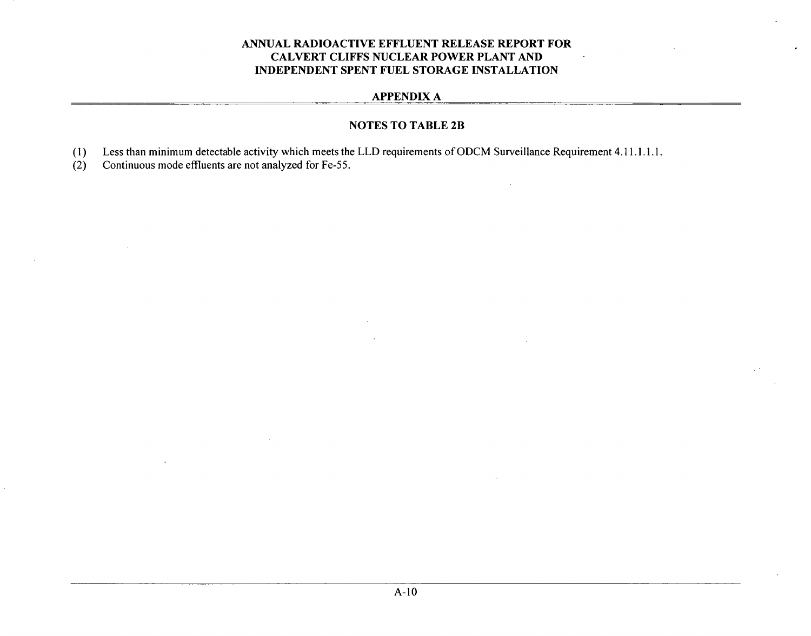# **APPENDIX A**

# **NOTES** TO TABLE 2B

- (1) Less than minimum detectable activity which meets the LLD requirements of ODCM Surveillance Requirement 4.11.1.1.1.
- (2) Continuous mode effluents are not analyzed for Fe-55.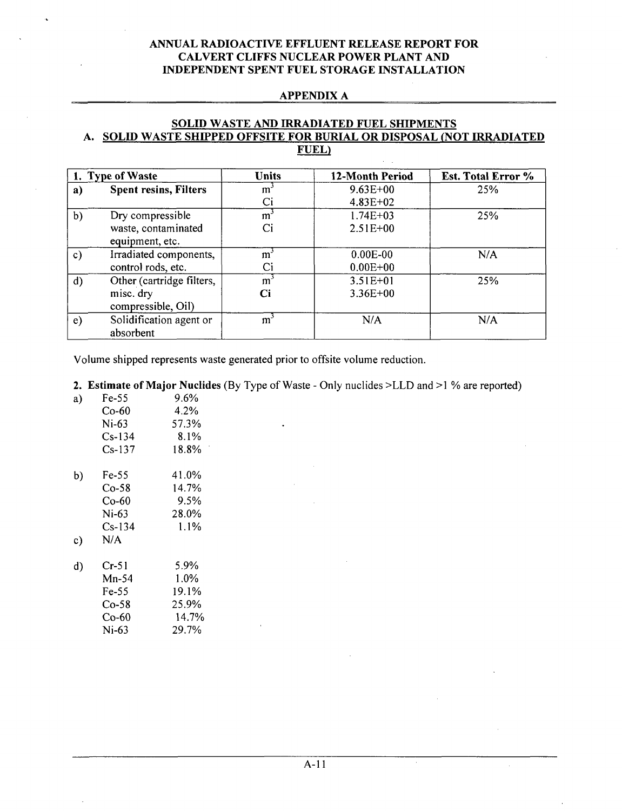#### **APPENDIX A**

# **SOLID** WASTE **AND** IRRADIATED **FUEL SHIPMENTS A. SOLID** WASTE **SHIPPED OFFSITE** FOR BURIAL OR **DISPOSAL (NOT** IRRADIATED **FUEL)**

| 1. Type of Waste |                                        | <b>Units</b>   | 12-Month Period | Est. Total Error % |
|------------------|----------------------------------------|----------------|-----------------|--------------------|
| a)               | <b>Spent resins, Filters</b>           | m              | $9.63E + 00$    | 25%                |
|                  |                                        |                | $4.83E+02$      |                    |
| b)               | Dry compressible                       | m              | $1.74E + 03$    | 25%                |
|                  | waste, contaminated<br>equipment, etc. | Ci             | $2.51E+00$      |                    |
|                  |                                        |                |                 |                    |
| $\mathbf{c})$    | Irradiated components,                 | m <sub>1</sub> | $0.00E-00$      | N/A                |
|                  | control rods, etc.                     | Ci             | $0.00E + 00$    |                    |
| $\mathbf{d}$     | Other (cartridge filters,              | m <sup>3</sup> | $3.51E + 01$    | 25%                |
|                  | misc. dry                              | Ci             | $3.36E + 00$    |                    |
|                  | compressible, Oil)                     |                |                 |                    |
| $\epsilon$       | Solidification agent or                | m              | N/A             | N/A                |
|                  | absorbent                              |                |                 |                    |

Volume shipped represents waste generated prior to offsite volume reduction.

### 2. Estimate of Major Nuclides (By Type of Waste - Only nuclides >LLD and >1 % are reported)

| a) | Fe-55    | $9.6\%$ |
|----|----------|---------|
|    | Co-60    | 4.2%    |
|    | $Ni-63$  | 57.3%   |
|    | $Cs-134$ | $8.1\%$ |
|    | $Cs-137$ | 18.8%   |
|    |          |         |

b) Fe-55 41.0% Co-58 14.7% Co-60 9.5% Ni-63 28.0%<br>Cs-134 1.1%  $Cs-134$ c) N/A

| d) | Cr-51   | 5.9%    |
|----|---------|---------|
|    | $Mn-54$ | $1.0\%$ |
|    | Fe-55   | 19.1%   |
|    | $Co-58$ | 25.9%   |
|    | Co-60   | 14.7%   |
|    | Ni-63   | 29.7%   |